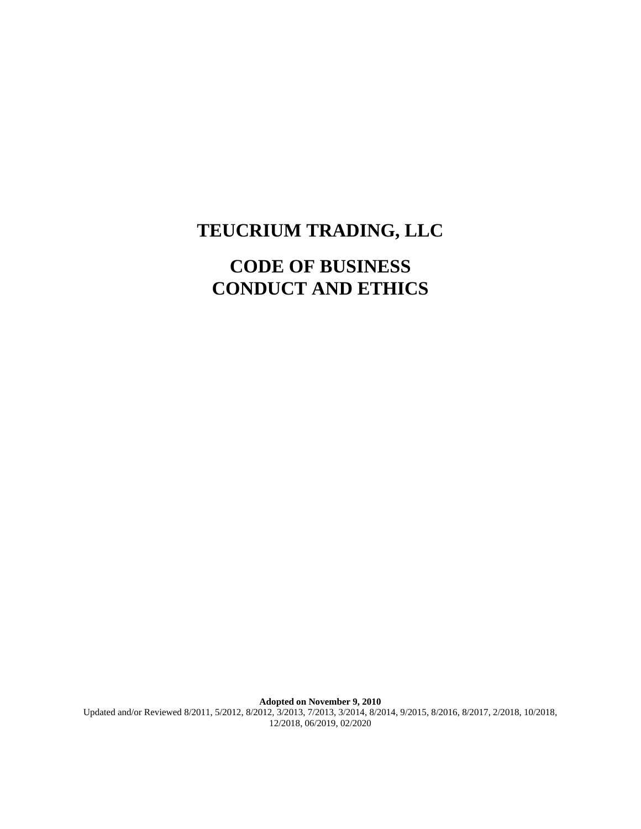# **TEUCRIUM TRADING, LLC**

# **CODE OF BUSINESS CONDUCT AND ETHICS**

**Adopted on November 9, 2010** Updated and/or Reviewed 8/2011, 5/2012, 8/2012, 3/2013, 7/2013, 3/2014, 8/2014, 9/2015, 8/2016, 8/2017, 2/2018, 10/2018, 12/2018, 06/2019, 02/2020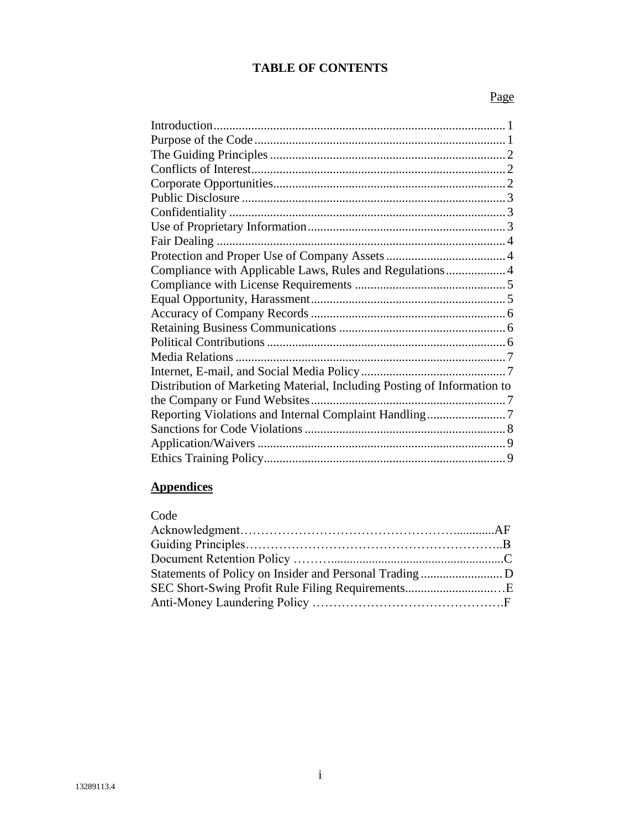## **TABLE OF CONTENTS**

## Page

| Compliance with Applicable Laws, Rules and Regulations 4                |  |
|-------------------------------------------------------------------------|--|
|                                                                         |  |
|                                                                         |  |
|                                                                         |  |
|                                                                         |  |
|                                                                         |  |
|                                                                         |  |
|                                                                         |  |
| Distribution of Marketing Material, Including Posting of Information to |  |
|                                                                         |  |
|                                                                         |  |
|                                                                         |  |
|                                                                         |  |
|                                                                         |  |
|                                                                         |  |

## **Appendices**

### Code

| SEC Short-Swing Profit Rule Filing Requirements |  |
|-------------------------------------------------|--|
|                                                 |  |
|                                                 |  |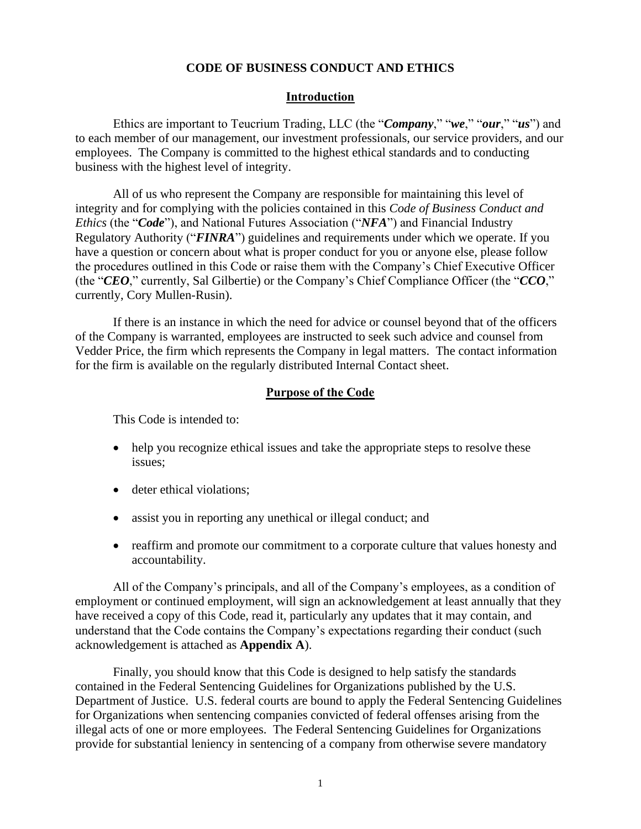#### **CODE OF BUSINESS CONDUCT AND ETHICS**

#### **Introduction**

<span id="page-2-0"></span>Ethics are important to Teucrium Trading, LLC (the "*Company*," "*we*," "*our*," "*us*") and to each member of our management, our investment professionals, our service providers, and our employees. The Company is committed to the highest ethical standards and to conducting business with the highest level of integrity.

All of us who represent the Company are responsible for maintaining this level of integrity and for complying with the policies contained in this *Code of Business Conduct and Ethics* (the "*Code*"), and National Futures Association ("*NFA*") and Financial Industry Regulatory Authority ("*FINRA*") guidelines and requirements under which we operate. If you have a question or concern about what is proper conduct for you or anyone else, please follow the procedures outlined in this Code or raise them with the Company's Chief Executive Officer (the "*CEO*," currently, Sal Gilbertie) or the Company's Chief Compliance Officer (the "*CCO*," currently, Cory Mullen-Rusin).

If there is an instance in which the need for advice or counsel beyond that of the officers of the Company is warranted, employees are instructed to seek such advice and counsel from Vedder Price, the firm which represents the Company in legal matters. The contact information for the firm is available on the regularly distributed Internal Contact sheet.

#### **Purpose of the Code**

<span id="page-2-1"></span>This Code is intended to:

- help you recognize ethical issues and take the appropriate steps to resolve these issues;
- deter ethical violations;
- assist you in reporting any unethical or illegal conduct; and
- reaffirm and promote our commitment to a corporate culture that values honesty and accountability.

All of the Company's principals, and all of the Company's employees, as a condition of employment or continued employment, will sign an acknowledgement at least annually that they have received a copy of this Code, read it, particularly any updates that it may contain, and understand that the Code contains the Company's expectations regarding their conduct (such acknowledgement is attached as **Appendix A**).

Finally, you should know that this Code is designed to help satisfy the standards contained in the Federal Sentencing Guidelines for Organizations published by the U.S. Department of Justice. U.S. federal courts are bound to apply the Federal Sentencing Guidelines for Organizations when sentencing companies convicted of federal offenses arising from the illegal acts of one or more employees. The Federal Sentencing Guidelines for Organizations provide for substantial leniency in sentencing of a company from otherwise severe mandatory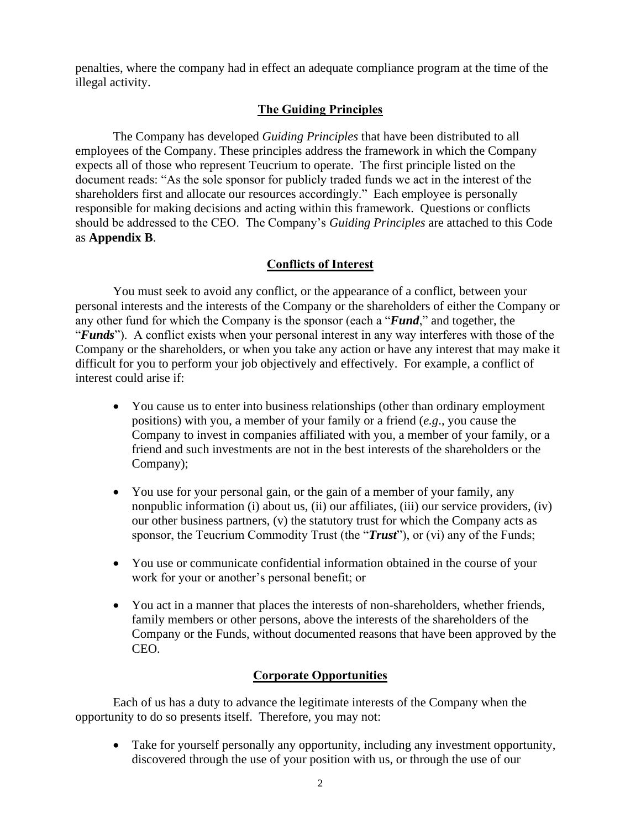penalties, where the company had in effect an adequate compliance program at the time of the illegal activity.

#### **The Guiding Principles**

<span id="page-3-0"></span>The Company has developed *Guiding Principles* that have been distributed to all employees of the Company. These principles address the framework in which the Company expects all of those who represent Teucrium to operate. The first principle listed on the document reads: "As the sole sponsor for publicly traded funds we act in the interest of the shareholders first and allocate our resources accordingly." Each employee is personally responsible for making decisions and acting within this framework. Questions or conflicts should be addressed to the CEO. The Company's *Guiding Principles* are attached to this Code as **Appendix B**.

#### **Conflicts of Interest**

<span id="page-3-1"></span>You must seek to avoid any conflict, or the appearance of a conflict, between your personal interests and the interests of the Company or the shareholders of either the Company or any other fund for which the Company is the sponsor (each a "*Fund*," and together, the "*Funds*"). A conflict exists when your personal interest in any way interferes with those of the Company or the shareholders, or when you take any action or have any interest that may make it difficult for you to perform your job objectively and effectively. For example, a conflict of interest could arise if:

- You cause us to enter into business relationships (other than ordinary employment positions) with you, a member of your family or a friend (*e.g*., you cause the Company to invest in companies affiliated with you, a member of your family, or a friend and such investments are not in the best interests of the shareholders or the Company);
- You use for your personal gain, or the gain of a member of your family, any nonpublic information (i) about us, (ii) our affiliates, (iii) our service providers, (iv) our other business partners, (v) the statutory trust for which the Company acts as sponsor, the Teucrium Commodity Trust (the "*Trust*"), or (vi) any of the Funds;
- You use or communicate confidential information obtained in the course of your work for your or another's personal benefit; or
- You act in a manner that places the interests of non-shareholders, whether friends, family members or other persons, above the interests of the shareholders of the Company or the Funds, without documented reasons that have been approved by the CEO.

#### **Corporate Opportunities**

<span id="page-3-2"></span>Each of us has a duty to advance the legitimate interests of the Company when the opportunity to do so presents itself. Therefore, you may not:

• Take for yourself personally any opportunity, including any investment opportunity, discovered through the use of your position with us, or through the use of our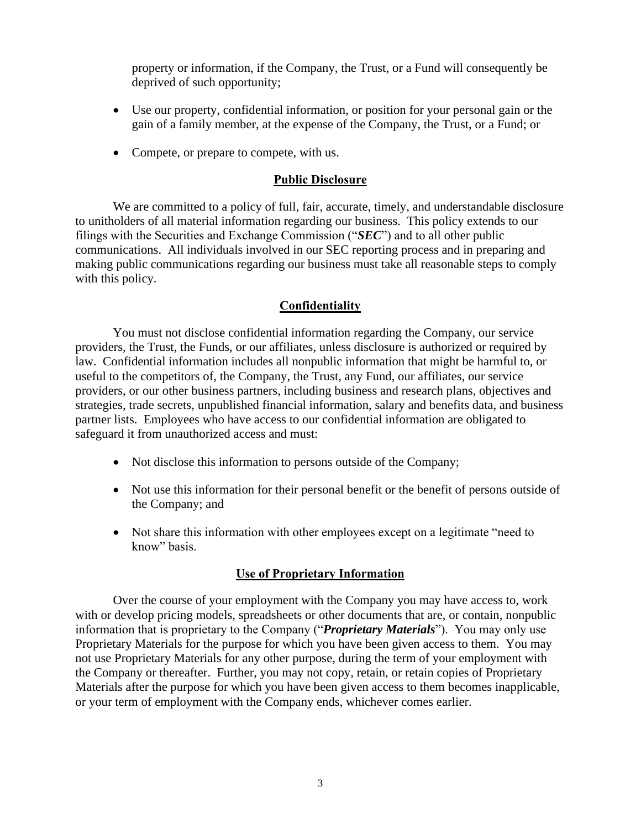property or information, if the Company, the Trust, or a Fund will consequently be deprived of such opportunity;

- Use our property, confidential information, or position for your personal gain or the gain of a family member, at the expense of the Company, the Trust, or a Fund; or
- Compete, or prepare to compete, with us.

#### **Public Disclosure**

<span id="page-4-0"></span>We are committed to a policy of full, fair, accurate, timely, and understandable disclosure to unitholders of all material information regarding our business. This policy extends to our filings with the Securities and Exchange Commission ("*SEC*") and to all other public communications. All individuals involved in our SEC reporting process and in preparing and making public communications regarding our business must take all reasonable steps to comply with this policy.

### **Confidentiality**

<span id="page-4-1"></span>You must not disclose confidential information regarding the Company, our service providers, the Trust, the Funds, or our affiliates, unless disclosure is authorized or required by law. Confidential information includes all nonpublic information that might be harmful to, or useful to the competitors of, the Company, the Trust, any Fund, our affiliates, our service providers, or our other business partners, including business and research plans, objectives and strategies, trade secrets, unpublished financial information, salary and benefits data, and business partner lists. Employees who have access to our confidential information are obligated to safeguard it from unauthorized access and must:

- Not disclose this information to persons outside of the Company;
- Not use this information for their personal benefit or the benefit of persons outside of the Company; and
- Not share this information with other employees except on a legitimate "need to know" basis.

## **Use of Proprietary Information**

<span id="page-4-2"></span>Over the course of your employment with the Company you may have access to, work with or develop pricing models, spreadsheets or other documents that are, or contain, nonpublic information that is proprietary to the Company ("*Proprietary Materials*"). You may only use Proprietary Materials for the purpose for which you have been given access to them. You may not use Proprietary Materials for any other purpose, during the term of your employment with the Company or thereafter. Further, you may not copy, retain, or retain copies of Proprietary Materials after the purpose for which you have been given access to them becomes inapplicable, or your term of employment with the Company ends, whichever comes earlier.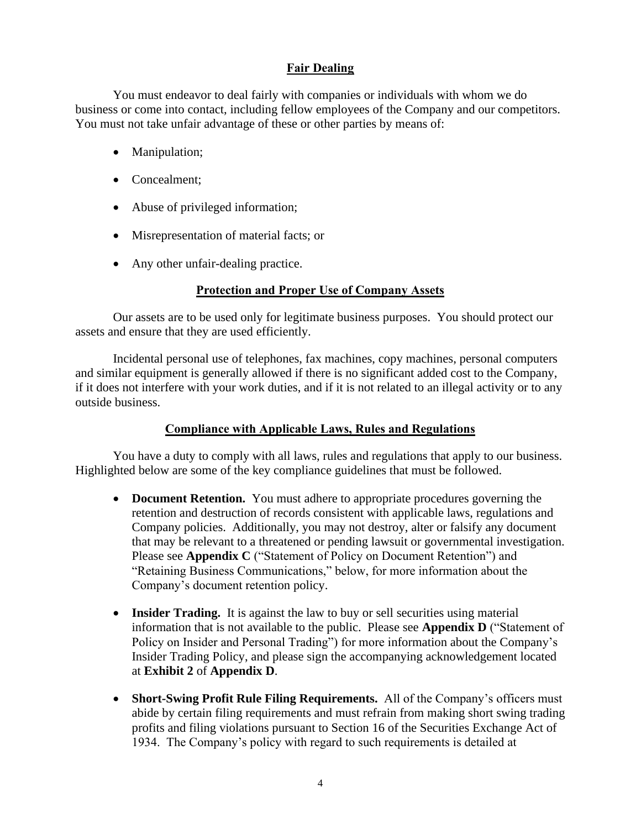## **Fair Dealing**

<span id="page-5-0"></span>You must endeavor to deal fairly with companies or individuals with whom we do business or come into contact, including fellow employees of the Company and our competitors. You must not take unfair advantage of these or other parties by means of:

- Manipulation;
- Concealment:
- Abuse of privileged information;
- Misrepresentation of material facts; or
- Any other unfair-dealing practice.

## **Protection and Proper Use of Company Assets**

<span id="page-5-1"></span>Our assets are to be used only for legitimate business purposes. You should protect our assets and ensure that they are used efficiently.

Incidental personal use of telephones, fax machines, copy machines, personal computers and similar equipment is generally allowed if there is no significant added cost to the Company, if it does not interfere with your work duties, and if it is not related to an illegal activity or to any outside business.

## **Compliance with Applicable Laws, Rules and Regulations**

<span id="page-5-2"></span>You have a duty to comply with all laws, rules and regulations that apply to our business. Highlighted below are some of the key compliance guidelines that must be followed.

- **Document Retention.** You must adhere to appropriate procedures governing the retention and destruction of records consistent with applicable laws, regulations and Company policies. Additionally, you may not destroy, alter or falsify any document that may be relevant to a threatened or pending lawsuit or governmental investigation. Please see **Appendix C** ("Statement of Policy on Document Retention") and "Retaining Business Communications," below, for more information about the Company's document retention policy.
- **Insider Trading.** It is against the law to buy or sell securities using material information that is not available to the public. Please see **Appendix D** ("Statement of Policy on Insider and Personal Trading") for more information about the Company's Insider Trading Policy, and please sign the accompanying acknowledgement located at **Exhibit 2** of **Appendix D**.
- **Short-Swing Profit Rule Filing Requirements.** All of the Company's officers must abide by certain filing requirements and must refrain from making short swing trading profits and filing violations pursuant to Section 16 of the Securities Exchange Act of 1934. The Company's policy with regard to such requirements is detailed at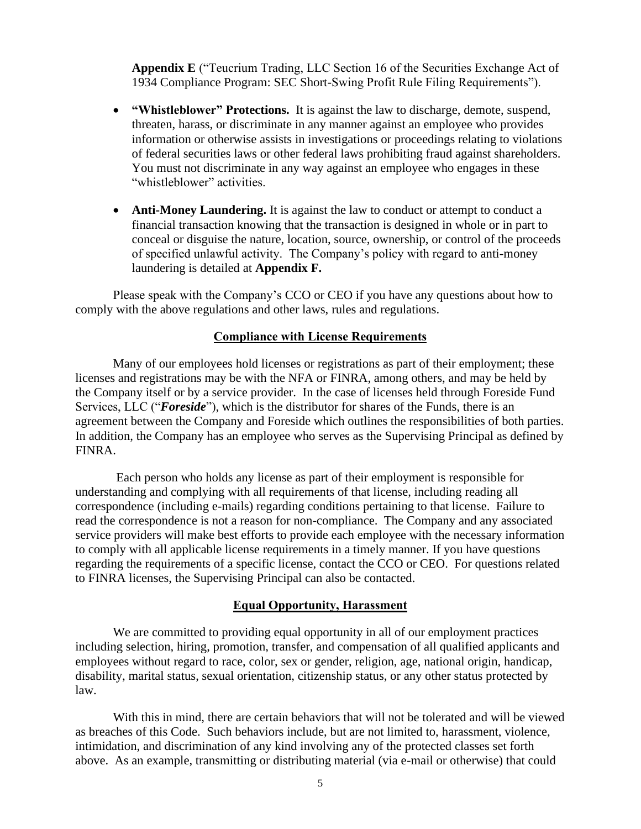**Appendix E** ("Teucrium Trading, LLC Section 16 of the Securities Exchange Act of 1934 Compliance Program: SEC Short-Swing Profit Rule Filing Requirements").

- **"Whistleblower" Protections.** It is against the law to discharge, demote, suspend, threaten, harass, or discriminate in any manner against an employee who provides information or otherwise assists in investigations or proceedings relating to violations of federal securities laws or other federal laws prohibiting fraud against shareholders. You must not discriminate in any way against an employee who engages in these "whistleblower" activities.
- **Anti-Money Laundering.** It is against the law to conduct or attempt to conduct a financial transaction knowing that the transaction is designed in whole or in part to conceal or disguise the nature, location, source, ownership, or control of the proceeds of specified unlawful activity. The Company's policy with regard to anti-money laundering is detailed at **Appendix F.**

Please speak with the Company's CCO or CEO if you have any questions about how to comply with the above regulations and other laws, rules and regulations.

#### **Compliance with License Requirements**

<span id="page-6-0"></span>Many of our employees hold licenses or registrations as part of their employment; these licenses and registrations may be with the NFA or FINRA, among others, and may be held by the Company itself or by a service provider. In the case of licenses held through Foreside Fund Services, LLC ("*Foreside*"), which is the distributor for shares of the Funds, there is an agreement between the Company and Foreside which outlines the responsibilities of both parties. In addition, the Company has an employee who serves as the Supervising Principal as defined by FINRA.

Each person who holds any license as part of their employment is responsible for understanding and complying with all requirements of that license, including reading all correspondence (including e-mails) regarding conditions pertaining to that license. Failure to read the correspondence is not a reason for non-compliance. The Company and any associated service providers will make best efforts to provide each employee with the necessary information to comply with all applicable license requirements in a timely manner. If you have questions regarding the requirements of a specific license, contact the CCO or CEO. For questions related to FINRA licenses, the Supervising Principal can also be contacted.

#### **Equal Opportunity, Harassment**

<span id="page-6-1"></span>We are committed to providing equal opportunity in all of our employment practices including selection, hiring, promotion, transfer, and compensation of all qualified applicants and employees without regard to race, color, sex or gender, religion, age, national origin, handicap, disability, marital status, sexual orientation, citizenship status, or any other status protected by law.

With this in mind, there are certain behaviors that will not be tolerated and will be viewed as breaches of this Code. Such behaviors include, but are not limited to, harassment, violence, intimidation, and discrimination of any kind involving any of the protected classes set forth above. As an example, transmitting or distributing material (via e-mail or otherwise) that could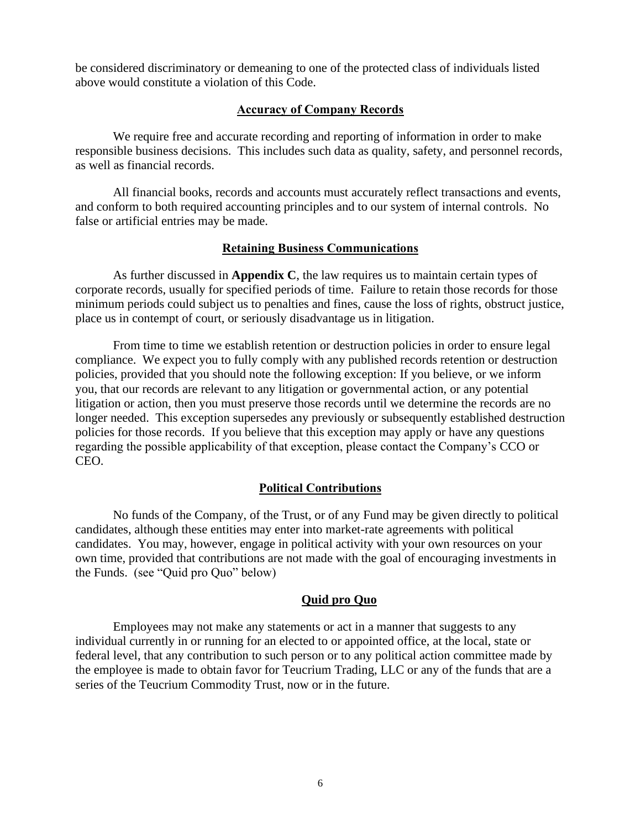be considered discriminatory or demeaning to one of the protected class of individuals listed above would constitute a violation of this Code.

#### **Accuracy of Company Records**

<span id="page-7-0"></span>We require free and accurate recording and reporting of information in order to make responsible business decisions. This includes such data as quality, safety, and personnel records, as well as financial records.

All financial books, records and accounts must accurately reflect transactions and events, and conform to both required accounting principles and to our system of internal controls. No false or artificial entries may be made.

#### **Retaining Business Communications**

<span id="page-7-1"></span>As further discussed in **Appendix C**, the law requires us to maintain certain types of corporate records, usually for specified periods of time. Failure to retain those records for those minimum periods could subject us to penalties and fines, cause the loss of rights, obstruct justice, place us in contempt of court, or seriously disadvantage us in litigation.

From time to time we establish retention or destruction policies in order to ensure legal compliance. We expect you to fully comply with any published records retention or destruction policies, provided that you should note the following exception: If you believe, or we inform you, that our records are relevant to any litigation or governmental action, or any potential litigation or action, then you must preserve those records until we determine the records are no longer needed. This exception supersedes any previously or subsequently established destruction policies for those records. If you believe that this exception may apply or have any questions regarding the possible applicability of that exception, please contact the Company's CCO or CEO.

#### **Political Contributions**

<span id="page-7-2"></span>No funds of the Company, of the Trust, or of any Fund may be given directly to political candidates, although these entities may enter into market-rate agreements with political candidates. You may, however, engage in political activity with your own resources on your own time, provided that contributions are not made with the goal of encouraging investments in the Funds. (see "Quid pro Quo" below)

#### **Quid pro Quo**

Employees may not make any statements or act in a manner that suggests to any individual currently in or running for an elected to or appointed office, at the local, state or federal level, that any contribution to such person or to any political action committee made by the employee is made to obtain favor for Teucrium Trading, LLC or any of the funds that are a series of the Teucrium Commodity Trust, now or in the future.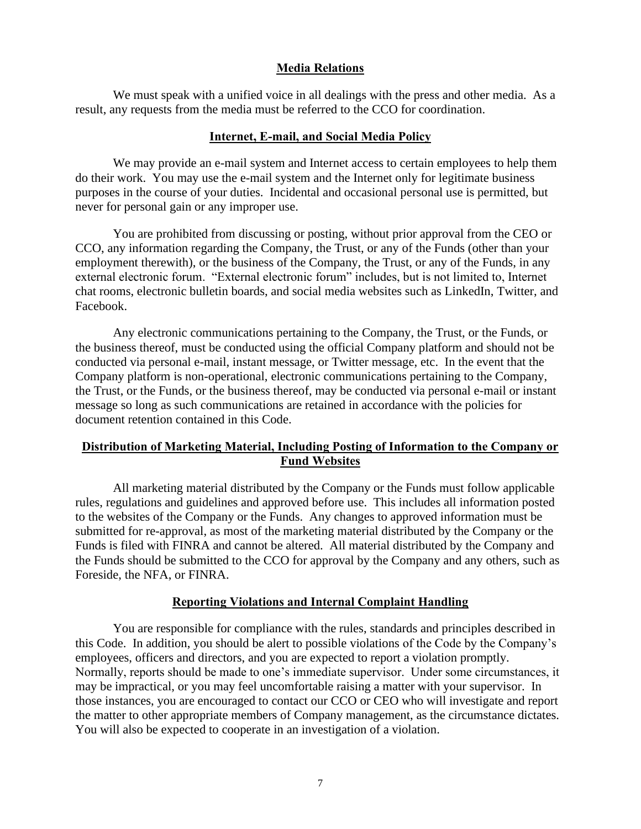#### **Media Relations**

<span id="page-8-0"></span>We must speak with a unified voice in all dealings with the press and other media. As a result, any requests from the media must be referred to the CCO for coordination.

#### **Internet, E-mail, and Social Media Policy**

<span id="page-8-1"></span>We may provide an e-mail system and Internet access to certain employees to help them do their work. You may use the e-mail system and the Internet only for legitimate business purposes in the course of your duties. Incidental and occasional personal use is permitted, but never for personal gain or any improper use.

You are prohibited from discussing or posting, without prior approval from the CEO or CCO, any information regarding the Company, the Trust, or any of the Funds (other than your employment therewith), or the business of the Company, the Trust, or any of the Funds, in any external electronic forum. "External electronic forum" includes, but is not limited to, Internet chat rooms, electronic bulletin boards, and social media websites such as LinkedIn, Twitter, and Facebook.

Any electronic communications pertaining to the Company, the Trust, or the Funds, or the business thereof, must be conducted using the official Company platform and should not be conducted via personal e-mail, instant message, or Twitter message, etc. In the event that the Company platform is non-operational, electronic communications pertaining to the Company, the Trust, or the Funds, or the business thereof, may be conducted via personal e-mail or instant message so long as such communications are retained in accordance with the policies for document retention contained in this Code.

### <span id="page-8-2"></span>**Distribution of Marketing Material, Including Posting of Information to the Company or Fund Websites**

All marketing material distributed by the Company or the Funds must follow applicable rules, regulations and guidelines and approved before use. This includes all information posted to the websites of the Company or the Funds. Any changes to approved information must be submitted for re-approval, as most of the marketing material distributed by the Company or the Funds is filed with FINRA and cannot be altered. All material distributed by the Company and the Funds should be submitted to the CCO for approval by the Company and any others, such as Foreside, the NFA, or FINRA.

#### **Reporting Violations and Internal Complaint Handling**

<span id="page-8-3"></span>You are responsible for compliance with the rules, standards and principles described in this Code. In addition, you should be alert to possible violations of the Code by the Company's employees, officers and directors, and you are expected to report a violation promptly. Normally, reports should be made to one's immediate supervisor. Under some circumstances, it may be impractical, or you may feel uncomfortable raising a matter with your supervisor. In those instances, you are encouraged to contact our CCO or CEO who will investigate and report the matter to other appropriate members of Company management, as the circumstance dictates. You will also be expected to cooperate in an investigation of a violation.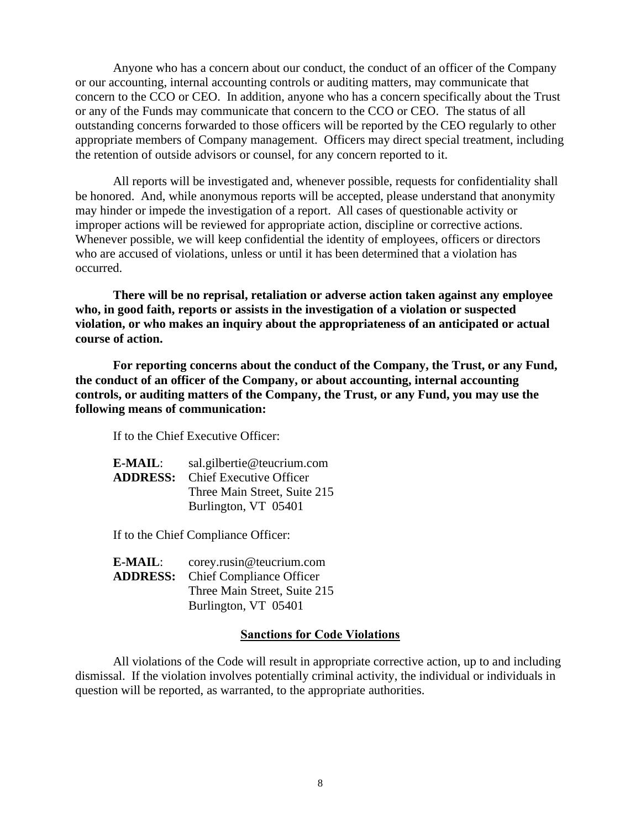Anyone who has a concern about our conduct, the conduct of an officer of the Company or our accounting, internal accounting controls or auditing matters, may communicate that concern to the CCO or CEO. In addition, anyone who has a concern specifically about the Trust or any of the Funds may communicate that concern to the CCO or CEO. The status of all outstanding concerns forwarded to those officers will be reported by the CEO regularly to other appropriate members of Company management. Officers may direct special treatment, including the retention of outside advisors or counsel, for any concern reported to it.

All reports will be investigated and, whenever possible, requests for confidentiality shall be honored. And, while anonymous reports will be accepted, please understand that anonymity may hinder or impede the investigation of a report. All cases of questionable activity or improper actions will be reviewed for appropriate action, discipline or corrective actions. Whenever possible, we will keep confidential the identity of employees, officers or directors who are accused of violations, unless or until it has been determined that a violation has occurred.

**There will be no reprisal, retaliation or adverse action taken against any employee who, in good faith, reports or assists in the investigation of a violation or suspected violation, or who makes an inquiry about the appropriateness of an anticipated or actual course of action.**

**For reporting concerns about the conduct of the Company, the Trust, or any Fund, the conduct of an officer of the Company, or about accounting, internal accounting controls, or auditing matters of the Company, the Trust, or any Fund, you may use the following means of communication:** 

If to the Chief Executive Officer:

| <b>E-MAIL:</b>  | sal.gilbertie@teucrium.com     |
|-----------------|--------------------------------|
| <b>ADDRESS:</b> | <b>Chief Executive Officer</b> |
|                 | Three Main Street, Suite 215   |
|                 | Burlington, VT 05401           |

If to the Chief Compliance Officer:

| <b>E-MAIL:</b> | corey.rusin@teucrium.com                 |
|----------------|------------------------------------------|
|                | <b>ADDRESS:</b> Chief Compliance Officer |
|                | Three Main Street, Suite 215             |
|                | Burlington, VT 05401                     |

#### **Sanctions for Code Violations**

<span id="page-9-0"></span>All violations of the Code will result in appropriate corrective action, up to and including dismissal. If the violation involves potentially criminal activity, the individual or individuals in question will be reported, as warranted, to the appropriate authorities.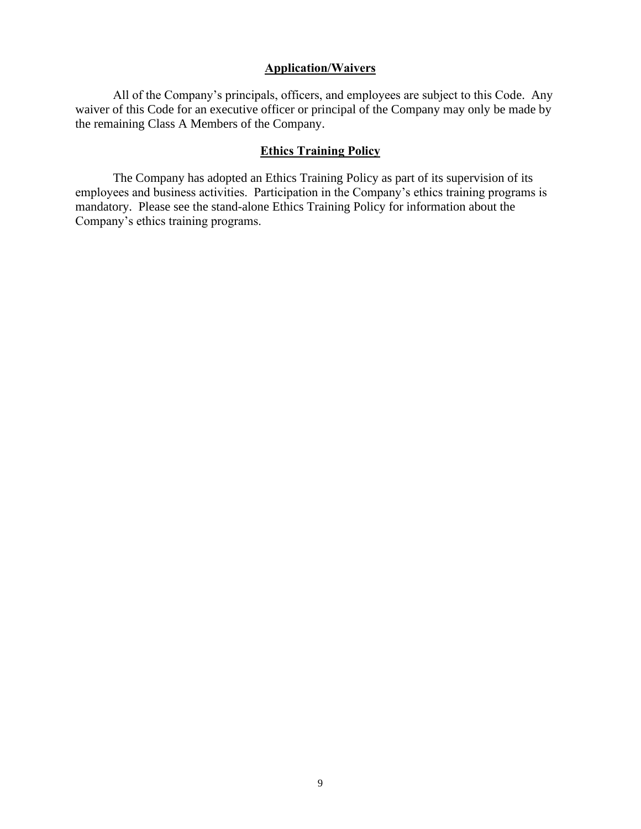### **Application/Waivers**

<span id="page-10-0"></span>All of the Company's principals, officers, and employees are subject to this Code. Any waiver of this Code for an executive officer or principal of the Company may only be made by the remaining Class A Members of the Company.

#### **Ethics Training Policy**

<span id="page-10-1"></span>The Company has adopted an Ethics Training Policy as part of its supervision of its employees and business activities. Participation in the Company's ethics training programs is mandatory. Please see the stand-alone Ethics Training Policy for information about the Company's ethics training programs.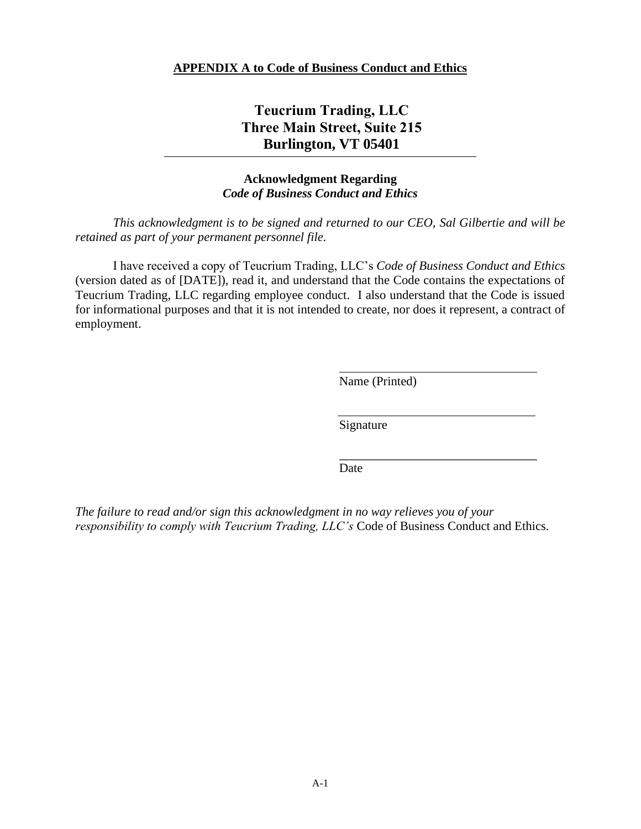**APPENDIX A to Code of Business Conduct and Ethics**

## **Teucrium Trading, LLC Three Main Street, Suite 215 Burlington, VT 05401**

#### **Acknowledgment Regarding**  *Code of Business Conduct and Ethics*

*This acknowledgment is to be signed and returned to our CEO, Sal Gilbertie and will be retained as part of your permanent personnel file.*

I have received a copy of Teucrium Trading, LLC's *Code of Business Conduct and Ethics*  (version dated as of [DATE]), read it, and understand that the Code contains the expectations of Teucrium Trading, LLC regarding employee conduct. I also understand that the Code is issued for informational purposes and that it is not intended to create, nor does it represent, a contract of employment.

Name (Printed)

Signature

Date

*The failure to read and/or sign this acknowledgment in no way relieves you of your responsibility to comply with Teucrium Trading, LLC's* Code of Business Conduct and Ethics*.*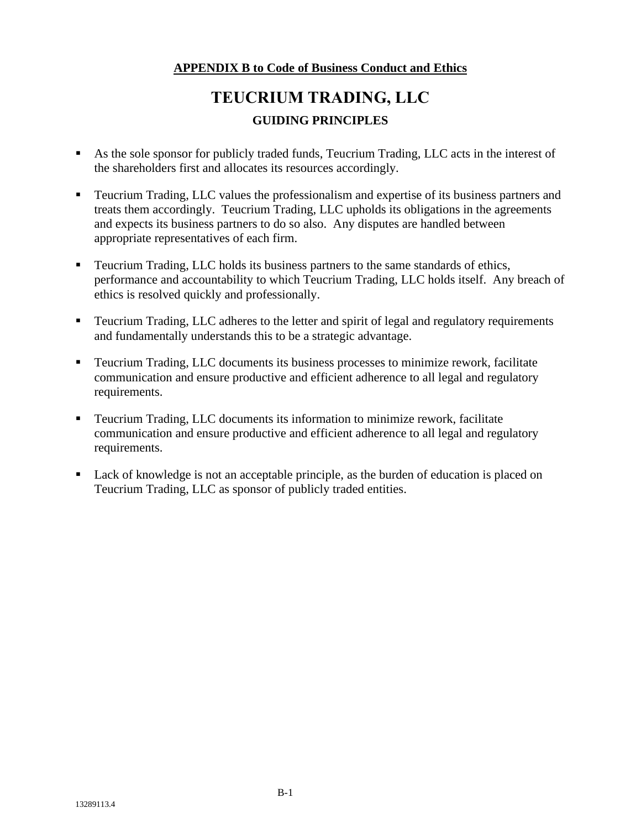## **APPENDIX B to Code of Business Conduct and Ethics**

# **TEUCRIUM TRADING, LLC GUIDING PRINCIPLES**

- As the sole sponsor for publicly traded funds, Teucrium Trading, LLC acts in the interest of the shareholders first and allocates its resources accordingly.
- Teucrium Trading, LLC values the professionalism and expertise of its business partners and treats them accordingly. Teucrium Trading, LLC upholds its obligations in the agreements and expects its business partners to do so also. Any disputes are handled between appropriate representatives of each firm.
- Teucrium Trading, LLC holds its business partners to the same standards of ethics, performance and accountability to which Teucrium Trading, LLC holds itself. Any breach of ethics is resolved quickly and professionally.
- Teucrium Trading, LLC adheres to the letter and spirit of legal and regulatory requirements and fundamentally understands this to be a strategic advantage.
- Teucrium Trading, LLC documents its business processes to minimize rework, facilitate communication and ensure productive and efficient adherence to all legal and regulatory requirements.
- Teucrium Trading, LLC documents its information to minimize rework, facilitate communication and ensure productive and efficient adherence to all legal and regulatory requirements.
- Lack of knowledge is not an acceptable principle, as the burden of education is placed on Teucrium Trading, LLC as sponsor of publicly traded entities.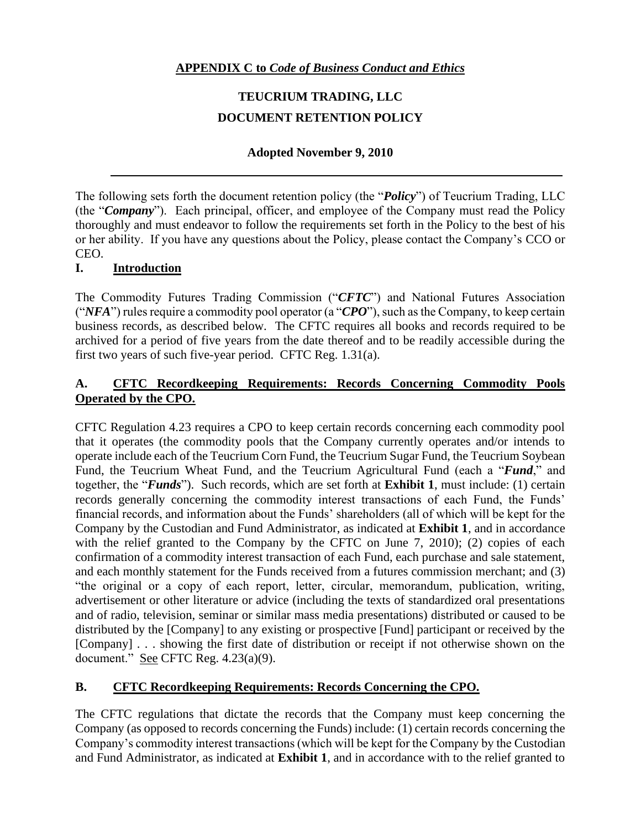## **TEUCRIUM TRADING, LLC DOCUMENT RETENTION POLICY**

## **Adopted November 9, 2010**

The following sets forth the document retention policy (the "*Policy*") of Teucrium Trading, LLC (the "*Company*"). Each principal, officer, and employee of the Company must read the Policy thoroughly and must endeavor to follow the requirements set forth in the Policy to the best of his or her ability. If you have any questions about the Policy, please contact the Company's CCO or CEO.

## **I. Introduction**

The Commodity Futures Trading Commission ("*CFTC*") and National Futures Association ("*NFA*") rules require a commodity pool operator (a "*CPO*"), such as the Company, to keep certain business records, as described below. The CFTC requires all books and records required to be archived for a period of five years from the date thereof and to be readily accessible during the first two years of such five-year period. CFTC Reg. 1.31(a).

## **A. CFTC Recordkeeping Requirements: Records Concerning Commodity Pools Operated by the CPO.**

CFTC Regulation 4.23 requires a CPO to keep certain records concerning each commodity pool that it operates (the commodity pools that the Company currently operates and/or intends to operate include each of the Teucrium Corn Fund, the Teucrium Sugar Fund, the Teucrium Soybean Fund, the Teucrium Wheat Fund, and the Teucrium Agricultural Fund (each a "*Fund*," and together, the "*Funds*"). Such records, which are set forth at **Exhibit 1**, must include: (1) certain records generally concerning the commodity interest transactions of each Fund, the Funds' financial records, and information about the Funds' shareholders (all of which will be kept for the Company by the Custodian and Fund Administrator, as indicated at **Exhibit 1**, and in accordance with the relief granted to the Company by the CFTC on June 7, 2010); (2) copies of each confirmation of a commodity interest transaction of each Fund, each purchase and sale statement, and each monthly statement for the Funds received from a futures commission merchant; and (3) "the original or a copy of each report, letter, circular, memorandum, publication, writing, advertisement or other literature or advice (including the texts of standardized oral presentations and of radio, television, seminar or similar mass media presentations) distributed or caused to be distributed by the [Company] to any existing or prospective [Fund] participant or received by the [Company] . . . showing the first date of distribution or receipt if not otherwise shown on the document." See CFTC Reg.  $4.23(a)(9)$ .

## **B. CFTC Recordkeeping Requirements: Records Concerning the CPO.**

The CFTC regulations that dictate the records that the Company must keep concerning the Company (as opposed to records concerning the Funds) include: (1) certain records concerning the Company's commodity interest transactions (which will be kept for the Company by the Custodian and Fund Administrator, as indicated at **Exhibit 1**, and in accordance with to the relief granted to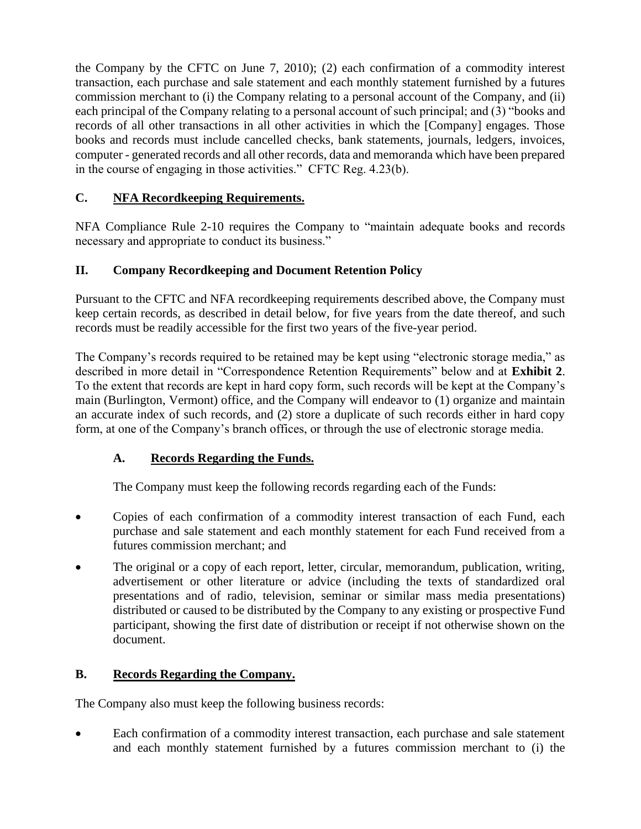the Company by the CFTC on June 7, 2010); (2) each confirmation of a commodity interest transaction, each purchase and sale statement and each monthly statement furnished by a futures commission merchant to (i) the Company relating to a personal account of the Company, and (ii) each principal of the Company relating to a personal account of such principal; and (3) "books and records of all other transactions in all other activities in which the [Company] engages. Those books and records must include cancelled checks, bank statements, journals, ledgers, invoices, computer - generated records and all other records, data and memoranda which have been prepared in the course of engaging in those activities." CFTC Reg. 4.23(b).

## **C. NFA Recordkeeping Requirements.**

NFA Compliance Rule 2-10 requires the Company to "maintain adequate books and records necessary and appropriate to conduct its business."

## **II. Company Recordkeeping and Document Retention Policy**

Pursuant to the CFTC and NFA recordkeeping requirements described above, the Company must keep certain records, as described in detail below, for five years from the date thereof, and such records must be readily accessible for the first two years of the five-year period.

The Company's records required to be retained may be kept using "electronic storage media," as described in more detail in "Correspondence Retention Requirements" below and at **Exhibit 2**. To the extent that records are kept in hard copy form, such records will be kept at the Company's main (Burlington, Vermont) office, and the Company will endeavor to (1) organize and maintain an accurate index of such records, and (2) store a duplicate of such records either in hard copy form, at one of the Company's branch offices, or through the use of electronic storage media.

## **A. Records Regarding the Funds.**

The Company must keep the following records regarding each of the Funds:

- Copies of each confirmation of a commodity interest transaction of each Fund, each purchase and sale statement and each monthly statement for each Fund received from a futures commission merchant; and
- The original or a copy of each report, letter, circular, memorandum, publication, writing, advertisement or other literature or advice (including the texts of standardized oral presentations and of radio, television, seminar or similar mass media presentations) distributed or caused to be distributed by the Company to any existing or prospective Fund participant, showing the first date of distribution or receipt if not otherwise shown on the document.

## **B. Records Regarding the Company.**

The Company also must keep the following business records:

Each confirmation of a commodity interest transaction, each purchase and sale statement and each monthly statement furnished by a futures commission merchant to (i) the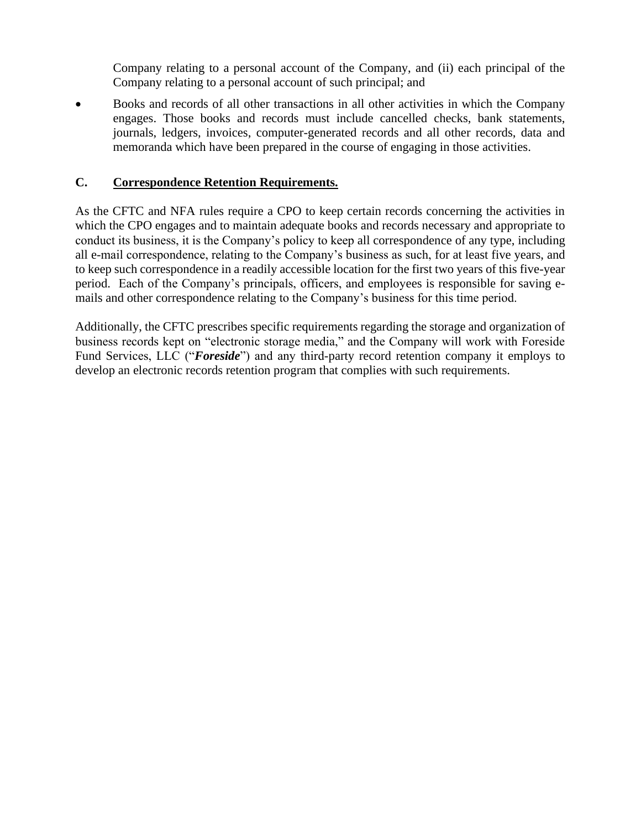Company relating to a personal account of the Company, and (ii) each principal of the Company relating to a personal account of such principal; and

• Books and records of all other transactions in all other activities in which the Company engages. Those books and records must include cancelled checks, bank statements, journals, ledgers, invoices, computer-generated records and all other records, data and memoranda which have been prepared in the course of engaging in those activities.

### **C. Correspondence Retention Requirements.**

As the CFTC and NFA rules require a CPO to keep certain records concerning the activities in which the CPO engages and to maintain adequate books and records necessary and appropriate to conduct its business, it is the Company's policy to keep all correspondence of any type, including all e-mail correspondence, relating to the Company's business as such, for at least five years, and to keep such correspondence in a readily accessible location for the first two years of this five-year period. Each of the Company's principals, officers, and employees is responsible for saving emails and other correspondence relating to the Company's business for this time period.

Additionally, the CFTC prescribes specific requirements regarding the storage and organization of business records kept on "electronic storage media," and the Company will work with Foreside Fund Services, LLC ("*Foreside*") and any third-party record retention company it employs to develop an electronic records retention program that complies with such requirements.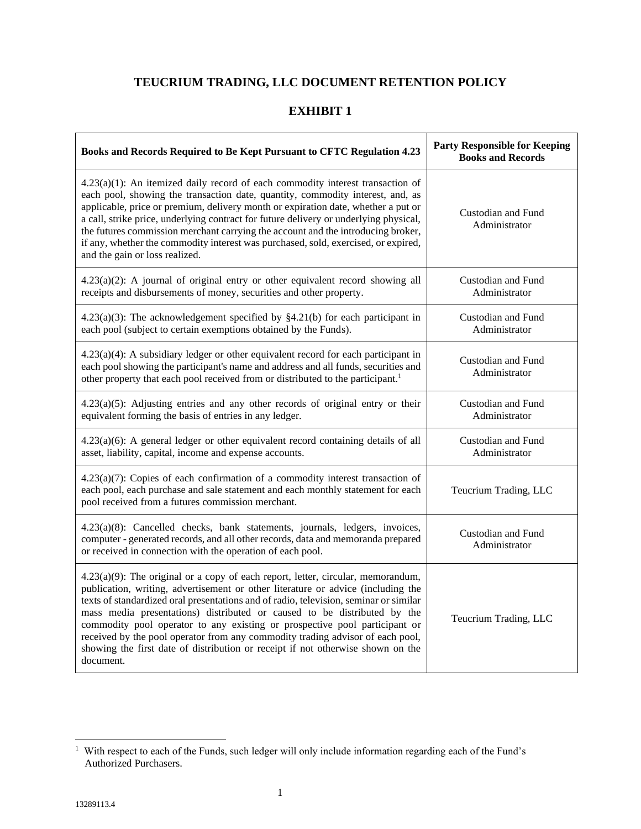## **TEUCRIUM TRADING, LLC DOCUMENT RETENTION POLICY**

## **EXHIBIT 1**

| Books and Records Required to Be Kept Pursuant to CFTC Regulation 4.23                                                                                                                                                                                                                                                                                                                                                                                                                                                                                                                                       | <b>Party Responsible for Keeping</b><br><b>Books and Records</b> |
|--------------------------------------------------------------------------------------------------------------------------------------------------------------------------------------------------------------------------------------------------------------------------------------------------------------------------------------------------------------------------------------------------------------------------------------------------------------------------------------------------------------------------------------------------------------------------------------------------------------|------------------------------------------------------------------|
| $4.23(a)(1)$ : An itemized daily record of each commodity interest transaction of<br>each pool, showing the transaction date, quantity, commodity interest, and, as<br>applicable, price or premium, delivery month or expiration date, whether a put or<br>a call, strike price, underlying contract for future delivery or underlying physical,<br>the futures commission merchant carrying the account and the introducing broker,<br>if any, whether the commodity interest was purchased, sold, exercised, or expired,<br>and the gain or loss realized.                                                | Custodian and Fund<br>Administrator                              |
| $4.23(a)(2)$ : A journal of original entry or other equivalent record showing all<br>receipts and disbursements of money, securities and other property.                                                                                                                                                                                                                                                                                                                                                                                                                                                     | Custodian and Fund<br>Administrator                              |
| $4.23(a)(3)$ : The acknowledgement specified by §4.21(b) for each participant in<br>each pool (subject to certain exemptions obtained by the Funds).                                                                                                                                                                                                                                                                                                                                                                                                                                                         | Custodian and Fund<br>Administrator                              |
| $4.23(a)(4)$ : A subsidiary ledger or other equivalent record for each participant in<br>each pool showing the participant's name and address and all funds, securities and<br>other property that each pool received from or distributed to the participant. <sup>1</sup>                                                                                                                                                                                                                                                                                                                                   | Custodian and Fund<br>Administrator                              |
| $4.23(a)(5)$ : Adjusting entries and any other records of original entry or their<br>equivalent forming the basis of entries in any ledger.                                                                                                                                                                                                                                                                                                                                                                                                                                                                  | Custodian and Fund<br>Administrator                              |
| $4.23(a)(6)$ : A general ledger or other equivalent record containing details of all<br>asset, liability, capital, income and expense accounts.                                                                                                                                                                                                                                                                                                                                                                                                                                                              | Custodian and Fund<br>Administrator                              |
| $4.23(a)(7)$ : Copies of each confirmation of a commodity interest transaction of<br>each pool, each purchase and sale statement and each monthly statement for each<br>pool received from a futures commission merchant.                                                                                                                                                                                                                                                                                                                                                                                    | Teucrium Trading, LLC                                            |
| 4.23(a)(8): Cancelled checks, bank statements, journals, ledgers, invoices,<br>computer - generated records, and all other records, data and memoranda prepared<br>or received in connection with the operation of each pool.                                                                                                                                                                                                                                                                                                                                                                                | Custodian and Fund<br>Administrator                              |
| $4.23(a)(9)$ : The original or a copy of each report, letter, circular, memorandum,<br>publication, writing, advertisement or other literature or advice (including the<br>texts of standardized oral presentations and of radio, television, seminar or similar<br>mass media presentations) distributed or caused to be distributed by the<br>commodity pool operator to any existing or prospective pool participant or<br>received by the pool operator from any commodity trading advisor of each pool,<br>showing the first date of distribution or receipt if not otherwise shown on the<br>document. | Teucrium Trading, LLC                                            |

 $\mathbf{r}$ 

<sup>&</sup>lt;sup>1</sup> With respect to each of the Funds, such ledger will only include information regarding each of the Fund's Authorized Purchasers.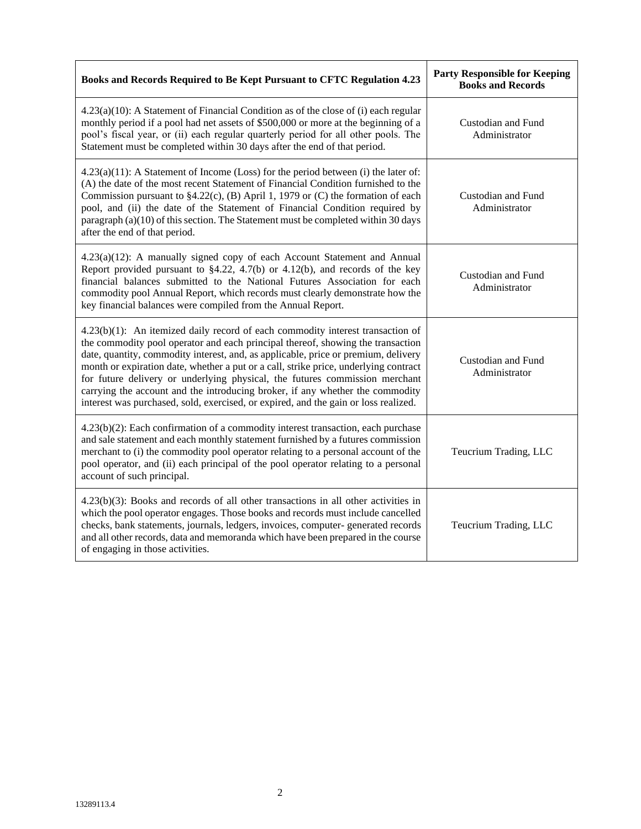| Books and Records Required to Be Kept Pursuant to CFTC Regulation 4.23                                                                                                                                                                                                                                                                                                                                                                                                                                                                                                                                    | <b>Party Responsible for Keeping</b><br><b>Books and Records</b> |
|-----------------------------------------------------------------------------------------------------------------------------------------------------------------------------------------------------------------------------------------------------------------------------------------------------------------------------------------------------------------------------------------------------------------------------------------------------------------------------------------------------------------------------------------------------------------------------------------------------------|------------------------------------------------------------------|
| $4.23(a)(10)$ : A Statement of Financial Condition as of the close of (i) each regular<br>monthly period if a pool had net assets of \$500,000 or more at the beginning of a<br>pool's fiscal year, or (ii) each regular quarterly period for all other pools. The<br>Statement must be completed within 30 days after the end of that period.                                                                                                                                                                                                                                                            | Custodian and Fund<br>Administrator                              |
| $4.23(a)(11)$ : A Statement of Income (Loss) for the period between (i) the later of:<br>(A) the date of the most recent Statement of Financial Condition furnished to the<br>Commission pursuant to $§4.22(c)$ , (B) April 1, 1979 or (C) the formation of each<br>pool, and (ii) the date of the Statement of Financial Condition required by<br>paragraph (a)(10) of this section. The Statement must be completed within 30 days<br>after the end of that period.                                                                                                                                     | Custodian and Fund<br>Administrator                              |
| 4.23(a)(12): A manually signed copy of each Account Statement and Annual<br>Report provided pursuant to $§4.22$ , $4.7(b)$ or $4.12(b)$ , and records of the key<br>financial balances submitted to the National Futures Association for each<br>commodity pool Annual Report, which records must clearly demonstrate how the<br>key financial balances were compiled from the Annual Report.                                                                                                                                                                                                             | Custodian and Fund<br>Administrator                              |
| $4.23(b)(1)$ : An itemized daily record of each commodity interest transaction of<br>the commodity pool operator and each principal thereof, showing the transaction<br>date, quantity, commodity interest, and, as applicable, price or premium, delivery<br>month or expiration date, whether a put or a call, strike price, underlying contract<br>for future delivery or underlying physical, the futures commission merchant<br>carrying the account and the introducing broker, if any whether the commodity<br>interest was purchased, sold, exercised, or expired, and the gain or loss realized. | Custodian and Fund<br>Administrator                              |
| $4.23(b)(2)$ : Each confirmation of a commodity interest transaction, each purchase<br>and sale statement and each monthly statement furnished by a futures commission<br>merchant to (i) the commodity pool operator relating to a personal account of the<br>pool operator, and (ii) each principal of the pool operator relating to a personal<br>account of such principal.                                                                                                                                                                                                                           | Teucrium Trading, LLC                                            |
| $4.23(b)(3)$ : Books and records of all other transactions in all other activities in<br>which the pool operator engages. Those books and records must include cancelled<br>checks, bank statements, journals, ledgers, invoices, computer-generated records<br>and all other records, data and memoranda which have been prepared in the course<br>of engaging in those activities.                                                                                                                                                                                                                      | Teucrium Trading, LLC                                            |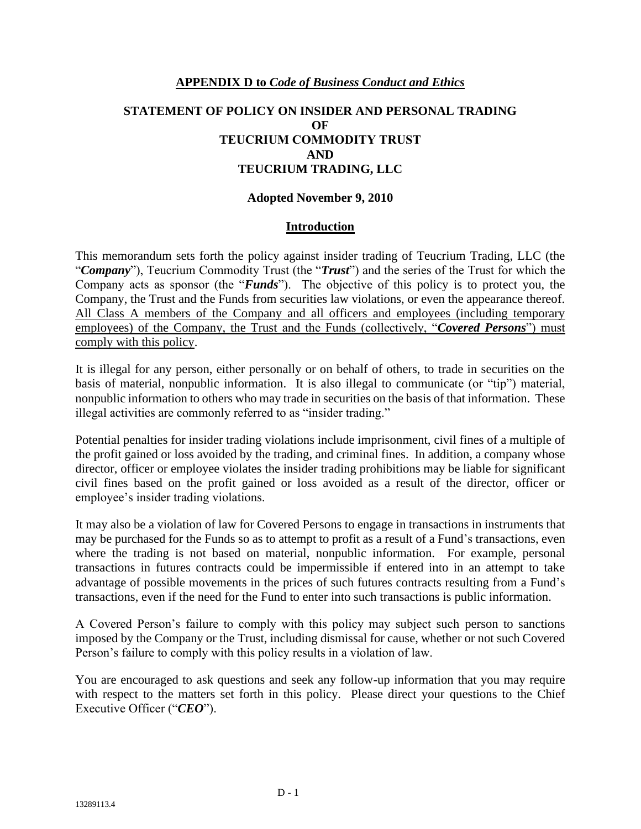#### **APPENDIX D to** *Code of Business Conduct and Ethics*

## **STATEMENT OF POLICY ON INSIDER AND PERSONAL TRADING OF TEUCRIUM COMMODITY TRUST AND TEUCRIUM TRADING, LLC**

#### **Adopted November 9, 2010**

#### **Introduction**

This memorandum sets forth the policy against insider trading of Teucrium Trading, LLC (the "*Company*"), Teucrium Commodity Trust (the "*Trust*") and the series of the Trust for which the Company acts as sponsor (the "*Funds*"). The objective of this policy is to protect you, the Company, the Trust and the Funds from securities law violations, or even the appearance thereof. All Class A members of the Company and all officers and employees (including temporary employees) of the Company, the Trust and the Funds (collectively, "*Covered Persons*") must comply with this policy.

It is illegal for any person, either personally or on behalf of others, to trade in securities on the basis of material, nonpublic information. It is also illegal to communicate (or "tip") material, nonpublic information to others who may trade in securities on the basis of that information. These illegal activities are commonly referred to as "insider trading."

Potential penalties for insider trading violations include imprisonment, civil fines of a multiple of the profit gained or loss avoided by the trading, and criminal fines. In addition, a company whose director, officer or employee violates the insider trading prohibitions may be liable for significant civil fines based on the profit gained or loss avoided as a result of the director, officer or employee's insider trading violations.

It may also be a violation of law for Covered Persons to engage in transactions in instruments that may be purchased for the Funds so as to attempt to profit as a result of a Fund's transactions, even where the trading is not based on material, nonpublic information. For example, personal transactions in futures contracts could be impermissible if entered into in an attempt to take advantage of possible movements in the prices of such futures contracts resulting from a Fund's transactions, even if the need for the Fund to enter into such transactions is public information.

A Covered Person's failure to comply with this policy may subject such person to sanctions imposed by the Company or the Trust, including dismissal for cause, whether or not such Covered Person's failure to comply with this policy results in a violation of law.

You are encouraged to ask questions and seek any follow-up information that you may require with respect to the matters set forth in this policy. Please direct your questions to the Chief Executive Officer ("*CEO*").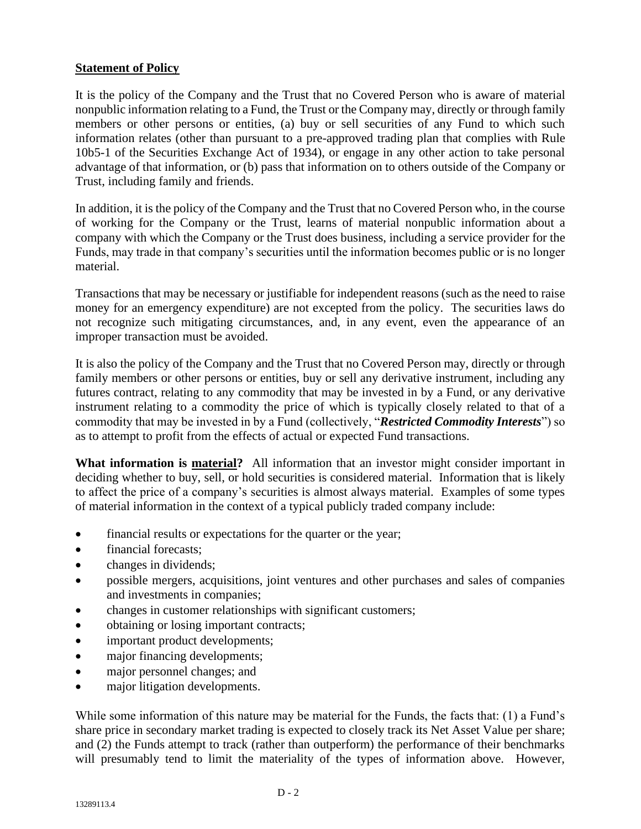## **Statement of Policy**

It is the policy of the Company and the Trust that no Covered Person who is aware of material nonpublic information relating to a Fund, the Trust or the Company may, directly or through family members or other persons or entities, (a) buy or sell securities of any Fund to which such information relates (other than pursuant to a pre-approved trading plan that complies with Rule 10b5-1 of the Securities Exchange Act of 1934), or engage in any other action to take personal advantage of that information, or (b) pass that information on to others outside of the Company or Trust, including family and friends.

In addition, it is the policy of the Company and the Trust that no Covered Person who, in the course of working for the Company or the Trust, learns of material nonpublic information about a company with which the Company or the Trust does business, including a service provider for the Funds, may trade in that company's securities until the information becomes public or is no longer material.

Transactions that may be necessary or justifiable for independent reasons (such as the need to raise money for an emergency expenditure) are not excepted from the policy. The securities laws do not recognize such mitigating circumstances, and, in any event, even the appearance of an improper transaction must be avoided.

It is also the policy of the Company and the Trust that no Covered Person may, directly or through family members or other persons or entities, buy or sell any derivative instrument, including any futures contract, relating to any commodity that may be invested in by a Fund, or any derivative instrument relating to a commodity the price of which is typically closely related to that of a commodity that may be invested in by a Fund (collectively, "*Restricted Commodity Interests*") so as to attempt to profit from the effects of actual or expected Fund transactions.

**What information is material?** All information that an investor might consider important in deciding whether to buy, sell, or hold securities is considered material. Information that is likely to affect the price of a company's securities is almost always material. Examples of some types of material information in the context of a typical publicly traded company include:

- financial results or expectations for the quarter or the year;
- financial forecasts:
- changes in dividends;
- possible mergers, acquisitions, joint ventures and other purchases and sales of companies and investments in companies;
- changes in customer relationships with significant customers;
- obtaining or losing important contracts;
- important product developments;
- major financing developments;
- major personnel changes; and
- major litigation developments.

While some information of this nature may be material for the Funds, the facts that: (1) a Fund's share price in secondary market trading is expected to closely track its Net Asset Value per share; and (2) the Funds attempt to track (rather than outperform) the performance of their benchmarks will presumably tend to limit the materiality of the types of information above. However,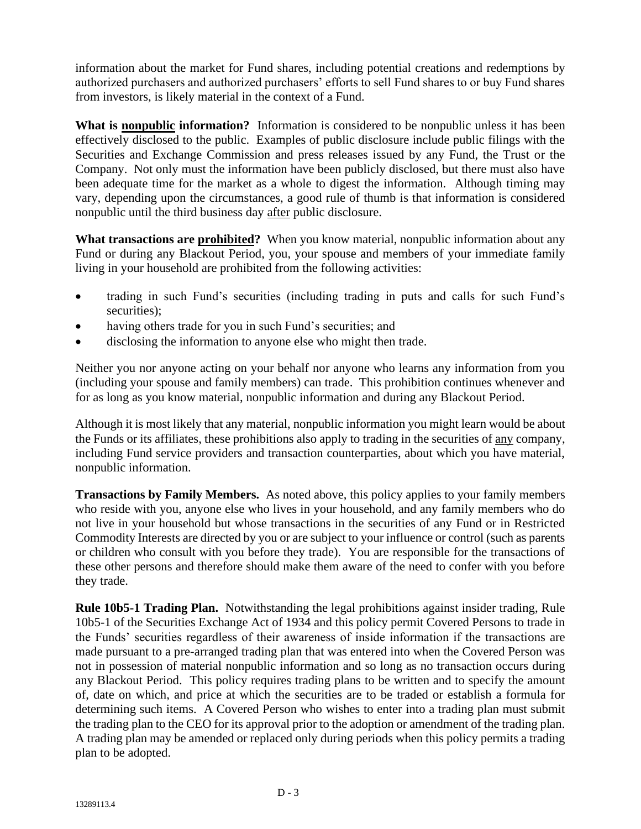information about the market for Fund shares, including potential creations and redemptions by authorized purchasers and authorized purchasers' efforts to sell Fund shares to or buy Fund shares from investors, is likely material in the context of a Fund.

**What is nonpublic information?** Information is considered to be nonpublic unless it has been effectively disclosed to the public. Examples of public disclosure include public filings with the Securities and Exchange Commission and press releases issued by any Fund, the Trust or the Company. Not only must the information have been publicly disclosed, but there must also have been adequate time for the market as a whole to digest the information. Although timing may vary, depending upon the circumstances, a good rule of thumb is that information is considered nonpublic until the third business day after public disclosure.

**What transactions are prohibited?** When you know material, nonpublic information about any Fund or during any Blackout Period, you, your spouse and members of your immediate family living in your household are prohibited from the following activities:

- trading in such Fund's securities (including trading in puts and calls for such Fund's securities);
- having others trade for you in such Fund's securities; and
- disclosing the information to anyone else who might then trade.

Neither you nor anyone acting on your behalf nor anyone who learns any information from you (including your spouse and family members) can trade. This prohibition continues whenever and for as long as you know material, nonpublic information and during any Blackout Period.

Although it is most likely that any material, nonpublic information you might learn would be about the Funds or its affiliates, these prohibitions also apply to trading in the securities of any company, including Fund service providers and transaction counterparties, about which you have material, nonpublic information.

**Transactions by Family Members.** As noted above, this policy applies to your family members who reside with you, anyone else who lives in your household, and any family members who do not live in your household but whose transactions in the securities of any Fund or in Restricted Commodity Interests are directed by you or are subject to your influence or control (such as parents or children who consult with you before they trade). You are responsible for the transactions of these other persons and therefore should make them aware of the need to confer with you before they trade.

**Rule 10b5-1 Trading Plan.** Notwithstanding the legal prohibitions against insider trading, Rule 10b5-1 of the Securities Exchange Act of 1934 and this policy permit Covered Persons to trade in the Funds' securities regardless of their awareness of inside information if the transactions are made pursuant to a pre-arranged trading plan that was entered into when the Covered Person was not in possession of material nonpublic information and so long as no transaction occurs during any Blackout Period. This policy requires trading plans to be written and to specify the amount of, date on which, and price at which the securities are to be traded or establish a formula for determining such items. A Covered Person who wishes to enter into a trading plan must submit the trading plan to the CEO for its approval prior to the adoption or amendment of the trading plan. A trading plan may be amended or replaced only during periods when this policy permits a trading plan to be adopted.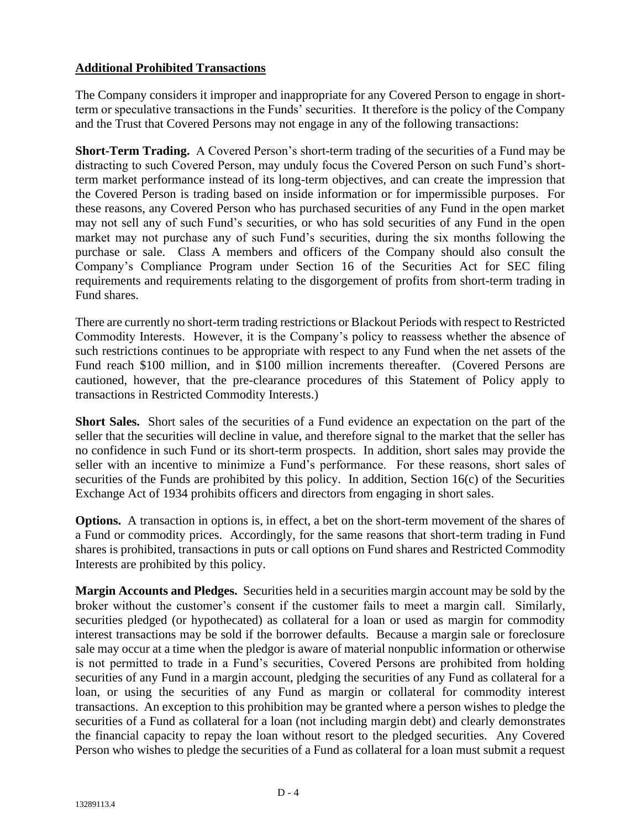## **Additional Prohibited Transactions**

The Company considers it improper and inappropriate for any Covered Person to engage in shortterm or speculative transactions in the Funds' securities. It therefore is the policy of the Company and the Trust that Covered Persons may not engage in any of the following transactions:

**Short-Term Trading.** A Covered Person's short-term trading of the securities of a Fund may be distracting to such Covered Person, may unduly focus the Covered Person on such Fund's shortterm market performance instead of its long-term objectives, and can create the impression that the Covered Person is trading based on inside information or for impermissible purposes. For these reasons, any Covered Person who has purchased securities of any Fund in the open market may not sell any of such Fund's securities, or who has sold securities of any Fund in the open market may not purchase any of such Fund's securities, during the six months following the purchase or sale. Class A members and officers of the Company should also consult the Company's Compliance Program under Section 16 of the Securities Act for SEC filing requirements and requirements relating to the disgorgement of profits from short-term trading in Fund shares.

There are currently no short-term trading restrictions or Blackout Periods with respect to Restricted Commodity Interests. However, it is the Company's policy to reassess whether the absence of such restrictions continues to be appropriate with respect to any Fund when the net assets of the Fund reach \$100 million, and in \$100 million increments thereafter. (Covered Persons are cautioned, however, that the pre-clearance procedures of this Statement of Policy apply to transactions in Restricted Commodity Interests.)

**Short Sales.**Short sales of the securities of a Fund evidence an expectation on the part of the seller that the securities will decline in value, and therefore signal to the market that the seller has no confidence in such Fund or its short-term prospects. In addition, short sales may provide the seller with an incentive to minimize a Fund's performance. For these reasons, short sales of securities of the Funds are prohibited by this policy. In addition, Section 16(c) of the Securities Exchange Act of 1934 prohibits officers and directors from engaging in short sales.

**Options.** A transaction in options is, in effect, a bet on the short-term movement of the shares of a Fund or commodity prices. Accordingly, for the same reasons that short-term trading in Fund shares is prohibited, transactions in puts or call options on Fund shares and Restricted Commodity Interests are prohibited by this policy.

**Margin Accounts and Pledges.** Securities held in a securities margin account may be sold by the broker without the customer's consent if the customer fails to meet a margin call. Similarly, securities pledged (or hypothecated) as collateral for a loan or used as margin for commodity interest transactions may be sold if the borrower defaults. Because a margin sale or foreclosure sale may occur at a time when the pledgor is aware of material nonpublic information or otherwise is not permitted to trade in a Fund's securities, Covered Persons are prohibited from holding securities of any Fund in a margin account, pledging the securities of any Fund as collateral for a loan, or using the securities of any Fund as margin or collateral for commodity interest transactions. An exception to this prohibition may be granted where a person wishes to pledge the securities of a Fund as collateral for a loan (not including margin debt) and clearly demonstrates the financial capacity to repay the loan without resort to the pledged securities. Any Covered Person who wishes to pledge the securities of a Fund as collateral for a loan must submit a request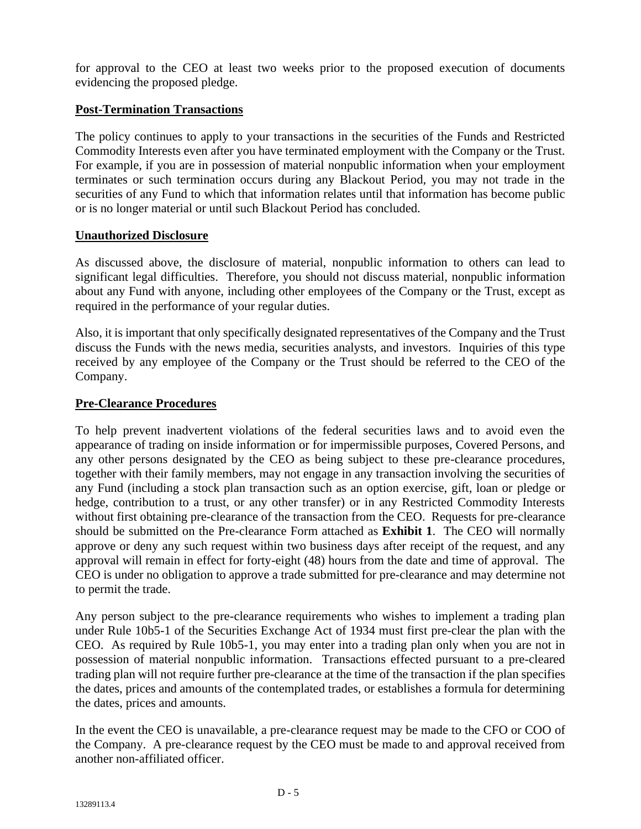for approval to the CEO at least two weeks prior to the proposed execution of documents evidencing the proposed pledge.

### **Post-Termination Transactions**

The policy continues to apply to your transactions in the securities of the Funds and Restricted Commodity Interests even after you have terminated employment with the Company or the Trust. For example, if you are in possession of material nonpublic information when your employment terminates or such termination occurs during any Blackout Period, you may not trade in the securities of any Fund to which that information relates until that information has become public or is no longer material or until such Blackout Period has concluded.

### **Unauthorized Disclosure**

As discussed above, the disclosure of material, nonpublic information to others can lead to significant legal difficulties. Therefore, you should not discuss material, nonpublic information about any Fund with anyone, including other employees of the Company or the Trust, except as required in the performance of your regular duties.

Also, it is important that only specifically designated representatives of the Company and the Trust discuss the Funds with the news media, securities analysts, and investors. Inquiries of this type received by any employee of the Company or the Trust should be referred to the CEO of the Company.

### **Pre-Clearance Procedures**

To help prevent inadvertent violations of the federal securities laws and to avoid even the appearance of trading on inside information or for impermissible purposes, Covered Persons, and any other persons designated by the CEO as being subject to these pre-clearance procedures, together with their family members, may not engage in any transaction involving the securities of any Fund (including a stock plan transaction such as an option exercise, gift, loan or pledge or hedge, contribution to a trust, or any other transfer) or in any Restricted Commodity Interests without first obtaining pre-clearance of the transaction from the CEO. Requests for pre-clearance should be submitted on the Pre-clearance Form attached as **Exhibit 1**. The CEO will normally approve or deny any such request within two business days after receipt of the request, and any approval will remain in effect for forty-eight (48) hours from the date and time of approval. The CEO is under no obligation to approve a trade submitted for pre-clearance and may determine not to permit the trade.

Any person subject to the pre-clearance requirements who wishes to implement a trading plan under Rule 10b5-1 of the Securities Exchange Act of 1934 must first pre-clear the plan with the CEO. As required by Rule 10b5-1, you may enter into a trading plan only when you are not in possession of material nonpublic information. Transactions effected pursuant to a pre-cleared trading plan will not require further pre-clearance at the time of the transaction if the plan specifies the dates, prices and amounts of the contemplated trades, or establishes a formula for determining the dates, prices and amounts.

In the event the CEO is unavailable, a pre-clearance request may be made to the CFO or COO of the Company. A pre-clearance request by the CEO must be made to and approval received from another non-affiliated officer.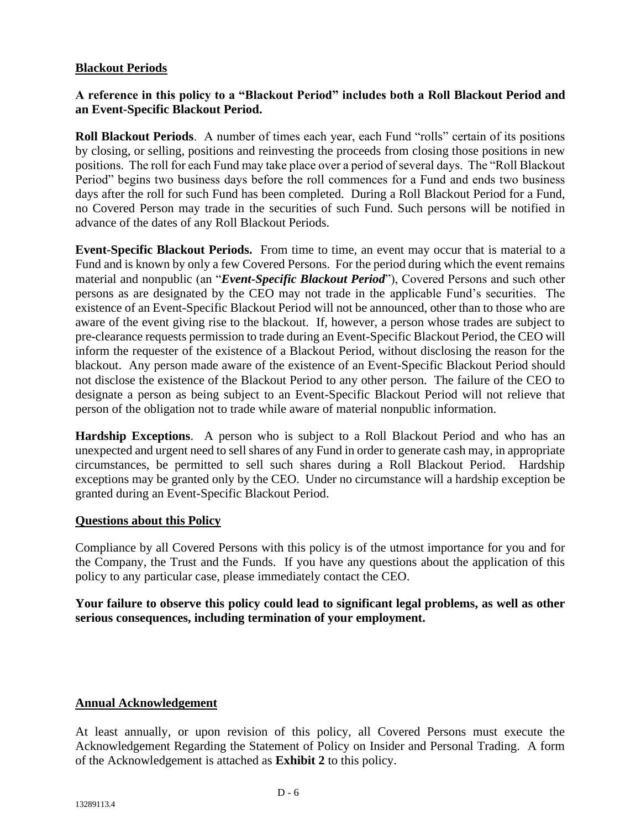### **Blackout Periods**

## **A reference in this policy to a "Blackout Period" includes both a Roll Blackout Period and an Event-Specific Blackout Period.**

**Roll Blackout Periods**. A number of times each year, each Fund "rolls" certain of its positions by closing, or selling, positions and reinvesting the proceeds from closing those positions in new positions. The roll for each Fund may take place over a period of several days. The "Roll Blackout Period" begins two business days before the roll commences for a Fund and ends two business days after the roll for such Fund has been completed. During a Roll Blackout Period for a Fund, no Covered Person may trade in the securities of such Fund. Such persons will be notified in advance of the dates of any Roll Blackout Periods.

**Event-Specific Blackout Periods.** From time to time, an event may occur that is material to a Fund and is known by only a few Covered Persons. For the period during which the event remains material and nonpublic (an "*Event-Specific Blackout Period*"), Covered Persons and such other persons as are designated by the CEO may not trade in the applicable Fund's securities. The existence of an Event-Specific Blackout Period will not be announced, other than to those who are aware of the event giving rise to the blackout. If, however, a person whose trades are subject to pre-clearance requests permission to trade during an Event-Specific Blackout Period, the CEO will inform the requester of the existence of a Blackout Period, without disclosing the reason for the blackout. Any person made aware of the existence of an Event-Specific Blackout Period should not disclose the existence of the Blackout Period to any other person. The failure of the CEO to designate a person as being subject to an Event-Specific Blackout Period will not relieve that person of the obligation not to trade while aware of material nonpublic information.

**Hardship Exceptions**. A person who is subject to a Roll Blackout Period and who has an unexpected and urgent need to sell shares of any Fund in order to generate cash may, in appropriate circumstances, be permitted to sell such shares during a Roll Blackout Period. Hardship exceptions may be granted only by the CEO. Under no circumstance will a hardship exception be granted during an Event-Specific Blackout Period.

#### **Questions about this Policy**

Compliance by all Covered Persons with this policy is of the utmost importance for you and for the Company, the Trust and the Funds. If you have any questions about the application of this policy to any particular case, please immediately contact the CEO.

**Your failure to observe this policy could lead to significant legal problems, as well as other serious consequences, including termination of your employment.**

#### **Annual Acknowledgement**

At least annually, or upon revision of this policy, all Covered Persons must execute the Acknowledgement Regarding the Statement of Policy on Insider and Personal Trading. A form of the Acknowledgement is attached as **Exhibit 2** to this policy.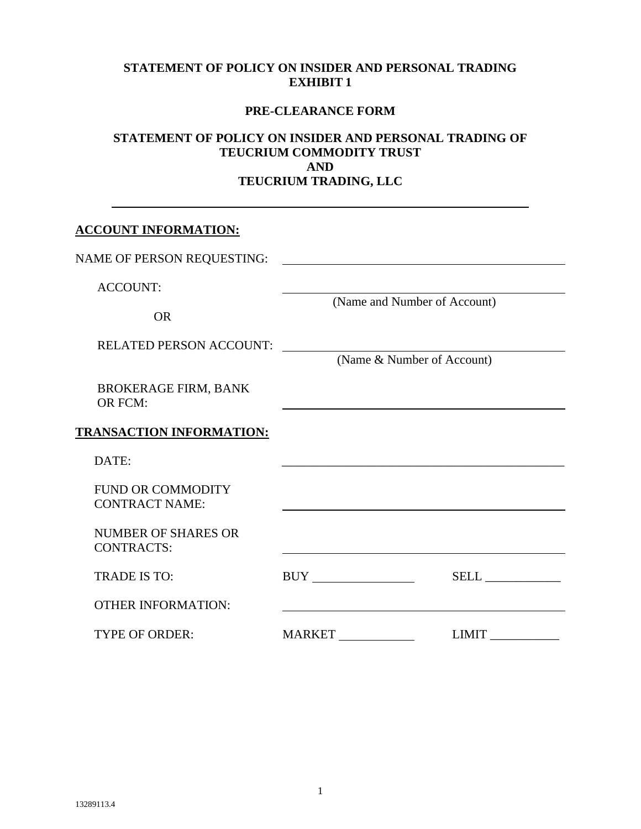#### **STATEMENT OF POLICY ON INSIDER AND PERSONAL TRADING EXHIBIT 1**

### **PRE-CLEARANCE FORM**

## **STATEMENT OF POLICY ON INSIDER AND PERSONAL TRADING OF TEUCRIUM COMMODITY TRUST AND TEUCRIUM TRADING, LLC**

| <b>ACCOUNT INFORMATION:</b>                       |               |                              |
|---------------------------------------------------|---------------|------------------------------|
| NAME OF PERSON REQUESTING:                        |               |                              |
| <b>ACCOUNT:</b><br><b>OR</b>                      |               | (Name and Number of Account) |
| <b>RELATED PERSON ACCOUNT:</b>                    |               | (Name & Number of Account)   |
| <b>BROKERAGE FIRM, BANK</b><br><b>OR FCM:</b>     |               |                              |
| <b>TRANSACTION INFORMATION:</b>                   |               |                              |
| DATE:                                             |               |                              |
| <b>FUND OR COMMODITY</b><br><b>CONTRACT NAME:</b> |               |                              |
| <b>NUMBER OF SHARES OR</b><br><b>CONTRACTS:</b>   |               |                              |
| <b>TRADE IS TO:</b>                               |               |                              |
| <b>OTHER INFORMATION:</b>                         |               |                              |
| <b>TYPE OF ORDER:</b>                             | <b>MARKET</b> | <b>LIMIT</b>                 |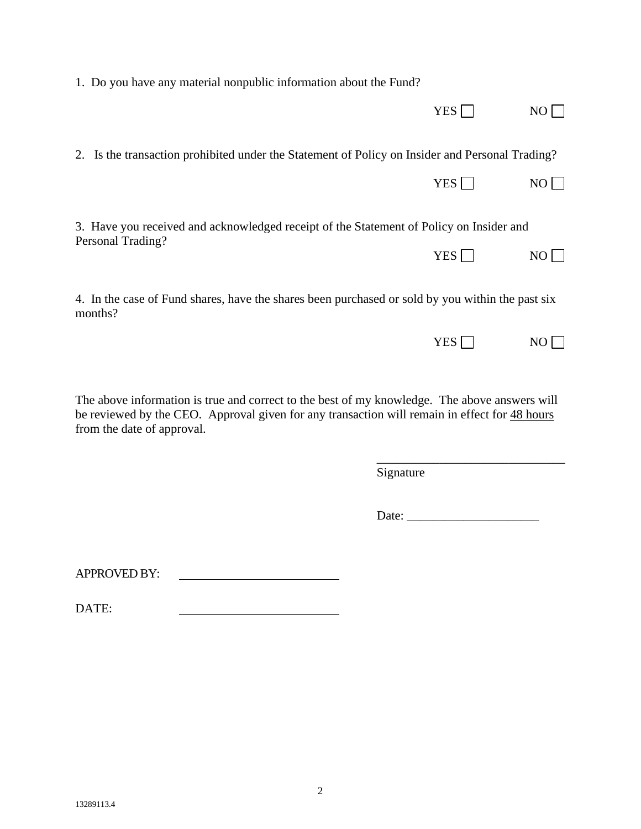| 1. Do you have any material nonpublic information about the Fund?                                           |                  |     |
|-------------------------------------------------------------------------------------------------------------|------------------|-----|
|                                                                                                             | YES              | NO  |
| 2. Is the transaction prohibited under the Statement of Policy on Insider and Personal Trading?             |                  |     |
|                                                                                                             | YES <sup>[</sup> | NO  |
| 3. Have you received and acknowledged receipt of the Statement of Policy on Insider and                     |                  |     |
| Personal Trading?                                                                                           | YES              | NO  |
| 4. In the case of Fund shares, have the shares been purchased or sold by you within the past six<br>months? |                  |     |
|                                                                                                             | YES              | NO. |
|                                                                                                             |                  |     |

The above information is true and correct to the best of my knowledge. The above answers will be reviewed by the CEO. Approval given for any transaction will remain in effect for 48 hours from the date of approval.

Signature

Date: \_\_\_\_\_\_\_\_\_\_\_\_\_\_\_\_\_\_\_\_\_

\_\_\_\_\_\_\_\_\_\_\_\_\_\_\_\_\_\_\_\_\_\_\_\_\_\_\_\_\_\_

APPROVED BY:

DATE: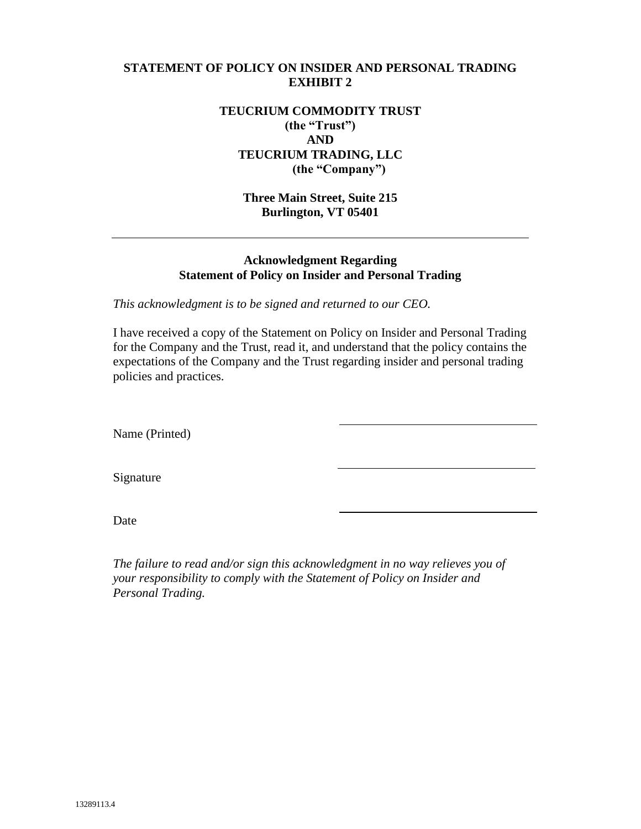#### **STATEMENT OF POLICY ON INSIDER AND PERSONAL TRADING EXHIBIT 2**

### **TEUCRIUM COMMODITY TRUST (the "Trust") AND TEUCRIUM TRADING, LLC (the "Company")**

**Three Main Street, Suite 215 Burlington, VT 05401**

#### **Acknowledgment Regarding Statement of Policy on Insider and Personal Trading**

*This acknowledgment is to be signed and returned to our CEO.*

I have received a copy of the Statement on Policy on Insider and Personal Trading for the Company and the Trust, read it, and understand that the policy contains the expectations of the Company and the Trust regarding insider and personal trading policies and practices.

Name (Printed)

Signature

Date

*The failure to read and/or sign this acknowledgment in no way relieves you of your responsibility to comply with the Statement of Policy on Insider and Personal Trading.*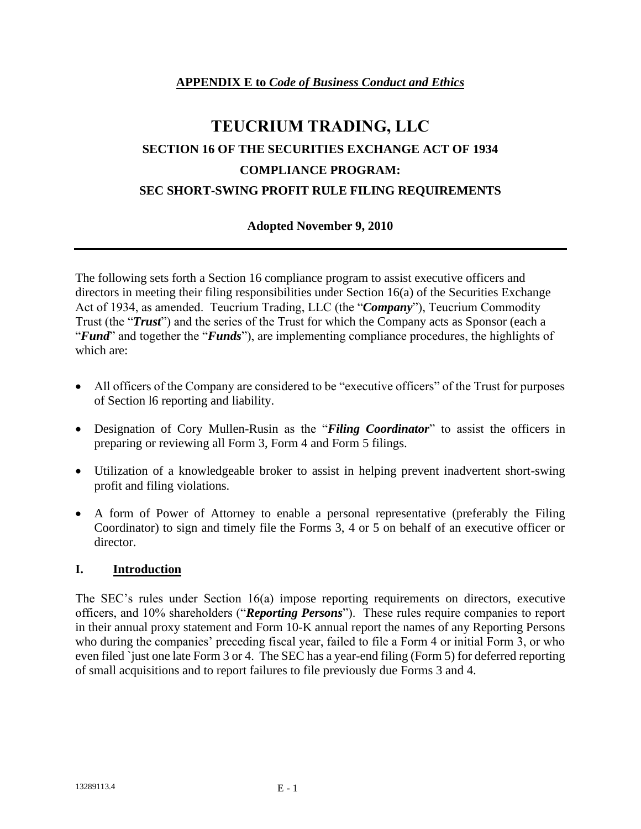## **APPENDIX E to** *Code of Business Conduct and Ethics*

# **TEUCRIUM TRADING, LLC SECTION 16 OF THE SECURITIES EXCHANGE ACT OF 1934 COMPLIANCE PROGRAM: SEC SHORT-SWING PROFIT RULE FILING REQUIREMENTS**

### **Adopted November 9, 2010**

The following sets forth a Section 16 compliance program to assist executive officers and directors in meeting their filing responsibilities under Section 16(a) of the Securities Exchange Act of 1934, as amended. Teucrium Trading, LLC (the "*Company*"), Teucrium Commodity Trust (the "*Trust*") and the series of the Trust for which the Company acts as Sponsor (each a "*Fund*" and together the "*Funds*"), are implementing compliance procedures, the highlights of which are:

- All officers of the Company are considered to be "executive officers" of the Trust for purposes of Section l6 reporting and liability.
- Designation of Cory Mullen-Rusin as the "*Filing Coordinator*" to assist the officers in preparing or reviewing all Form 3, Form 4 and Form 5 filings.
- Utilization of a knowledgeable broker to assist in helping prevent inadvertent short-swing profit and filing violations.
- A form of Power of Attorney to enable a personal representative (preferably the Filing Coordinator) to sign and timely file the Forms 3, 4 or 5 on behalf of an executive officer or director.

#### **I. Introduction**

The SEC's rules under Section 16(a) impose reporting requirements on directors, executive officers, and 10% shareholders ("*Reporting Persons*"). These rules require companies to report in their annual proxy statement and Form 10-K annual report the names of any Reporting Persons who during the companies' preceding fiscal year, failed to file a Form 4 or initial Form 3, or who even filed `just one late Form 3 or 4. The SEC has a year-end filing (Form 5) for deferred reporting of small acquisitions and to report failures to file previously due Forms 3 and 4.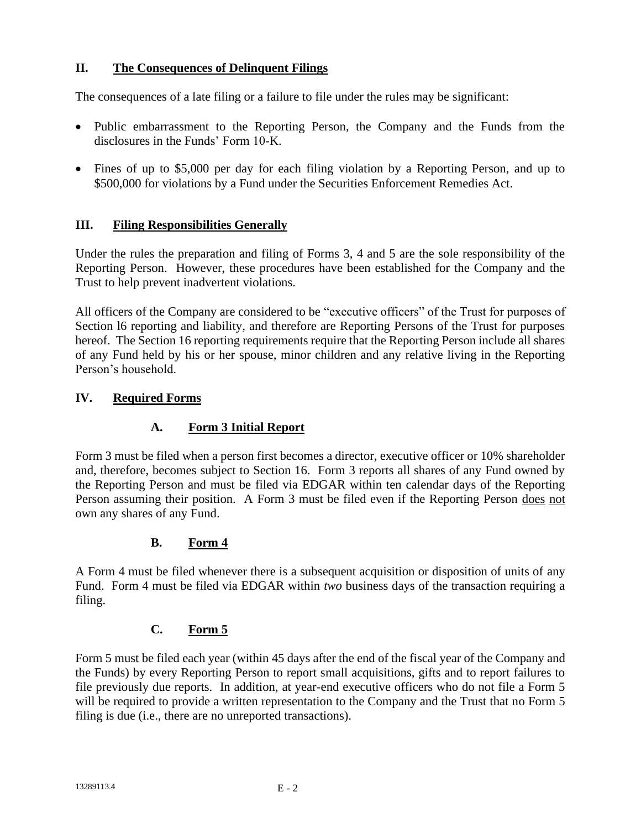## **II. The Consequences of Delinquent Filings**

The consequences of a late filing or a failure to file under the rules may be significant:

- Public embarrassment to the Reporting Person, the Company and the Funds from the disclosures in the Funds' Form 10-K.
- Fines of up to \$5,000 per day for each filing violation by a Reporting Person, and up to \$500,000 for violations by a Fund under the Securities Enforcement Remedies Act.

## **III. Filing Responsibilities Generally**

Under the rules the preparation and filing of Forms 3, 4 and 5 are the sole responsibility of the Reporting Person. However, these procedures have been established for the Company and the Trust to help prevent inadvertent violations.

All officers of the Company are considered to be "executive officers" of the Trust for purposes of Section l6 reporting and liability, and therefore are Reporting Persons of the Trust for purposes hereof. The Section 16 reporting requirements require that the Reporting Person include all shares of any Fund held by his or her spouse, minor children and any relative living in the Reporting Person's household.

### **IV. Required Forms**

## **A. Form 3 Initial Report**

Form 3 must be filed when a person first becomes a director, executive officer or 10% shareholder and, therefore, becomes subject to Section 16. Form 3 reports all shares of any Fund owned by the Reporting Person and must be filed via EDGAR within ten calendar days of the Reporting Person assuming their position. A Form 3 must be filed even if the Reporting Person does not own any shares of any Fund.

## **B. Form 4**

A Form 4 must be filed whenever there is a subsequent acquisition or disposition of units of any Fund. Form 4 must be filed via EDGAR within *two* business days of the transaction requiring a filing.

## **C. Form 5**

Form 5 must be filed each year (within 45 days after the end of the fiscal year of the Company and the Funds) by every Reporting Person to report small acquisitions, gifts and to report failures to file previously due reports. In addition, at year-end executive officers who do not file a Form 5 will be required to provide a written representation to the Company and the Trust that no Form 5 filing is due (i.e., there are no unreported transactions).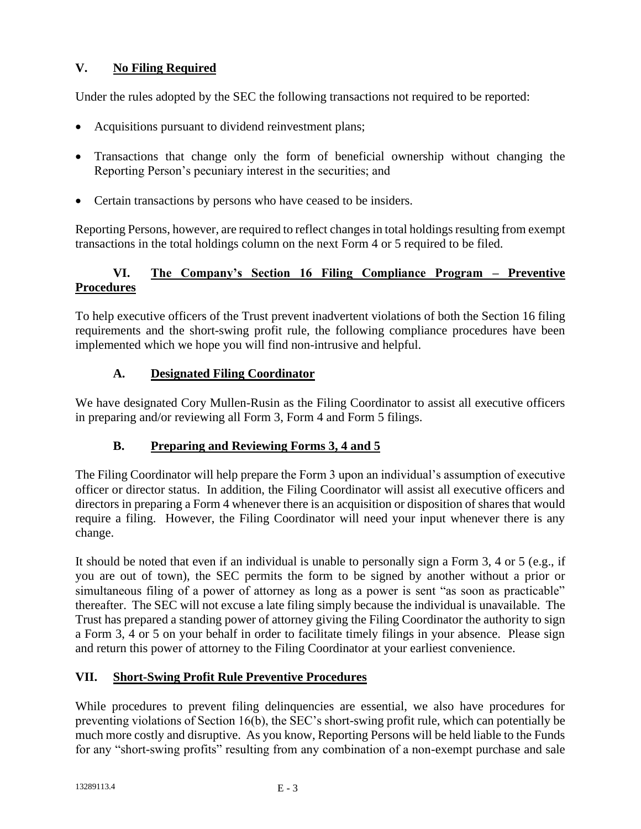## **V. No Filing Required**

Under the rules adopted by the SEC the following transactions not required to be reported:

- Acquisitions pursuant to dividend reinvestment plans;
- Transactions that change only the form of beneficial ownership without changing the Reporting Person's pecuniary interest in the securities; and
- Certain transactions by persons who have ceased to be insiders.

Reporting Persons, however, are required to reflect changes in total holdings resulting from exempt transactions in the total holdings column on the next Form 4 or 5 required to be filed.

## **VI. The Company's Section 16 Filing Compliance Program – Preventive Procedures**

To help executive officers of the Trust prevent inadvertent violations of both the Section 16 filing requirements and the short-swing profit rule, the following compliance procedures have been implemented which we hope you will find non-intrusive and helpful.

## **A. Designated Filing Coordinator**

We have designated Cory Mullen-Rusin as the Filing Coordinator to assist all executive officers in preparing and/or reviewing all Form 3, Form 4 and Form 5 filings.

## **B. Preparing and Reviewing Forms 3, 4 and 5**

The Filing Coordinator will help prepare the Form 3 upon an individual's assumption of executive officer or director status. In addition, the Filing Coordinator will assist all executive officers and directors in preparing a Form 4 whenever there is an acquisition or disposition of shares that would require a filing. However, the Filing Coordinator will need your input whenever there is any change.

It should be noted that even if an individual is unable to personally sign a Form 3, 4 or 5 (e.g., if you are out of town), the SEC permits the form to be signed by another without a prior or simultaneous filing of a power of attorney as long as a power is sent "as soon as practicable" thereafter. The SEC will not excuse a late filing simply because the individual is unavailable. The Trust has prepared a standing power of attorney giving the Filing Coordinator the authority to sign a Form 3, 4 or 5 on your behalf in order to facilitate timely filings in your absence. Please sign and return this power of attorney to the Filing Coordinator at your earliest convenience.

## **VII. Short-Swing Profit Rule Preventive Procedures**

While procedures to prevent filing delinquencies are essential, we also have procedures for preventing violations of Section 16(b), the SEC's short-swing profit rule, which can potentially be much more costly and disruptive. As you know, Reporting Persons will be held liable to the Funds for any "short-swing profits" resulting from any combination of a non-exempt purchase and sale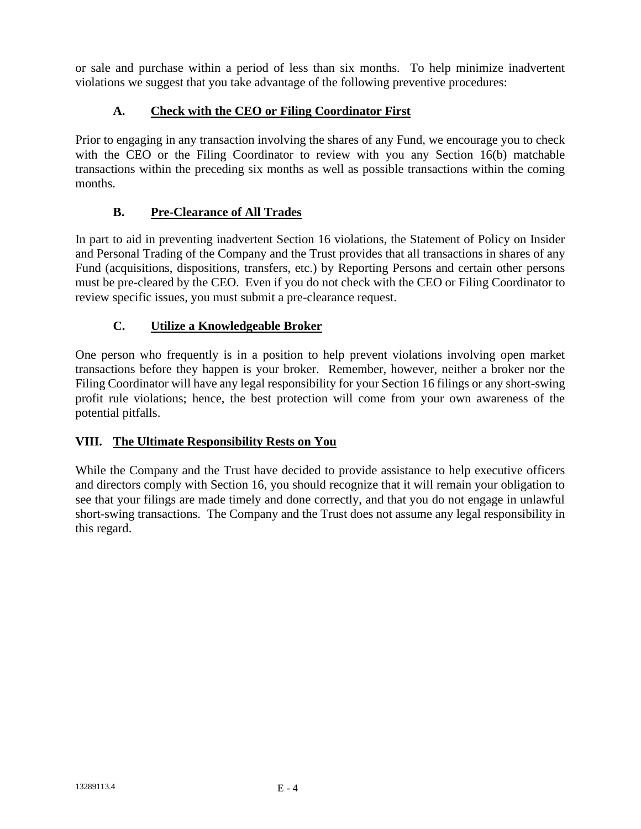or sale and purchase within a period of less than six months. To help minimize inadvertent violations we suggest that you take advantage of the following preventive procedures:

## **A. Check with the CEO or Filing Coordinator First**

Prior to engaging in any transaction involving the shares of any Fund, we encourage you to check with the CEO or the Filing Coordinator to review with you any Section 16(b) matchable transactions within the preceding six months as well as possible transactions within the coming months.

## **B. Pre-Clearance of All Trades**

In part to aid in preventing inadvertent Section 16 violations, the Statement of Policy on Insider and Personal Trading of the Company and the Trust provides that all transactions in shares of any Fund (acquisitions, dispositions, transfers, etc.) by Reporting Persons and certain other persons must be pre-cleared by the CEO. Even if you do not check with the CEO or Filing Coordinator to review specific issues, you must submit a pre-clearance request.

## **C. Utilize a Knowledgeable Broker**

One person who frequently is in a position to help prevent violations involving open market transactions before they happen is your broker. Remember, however, neither a broker nor the Filing Coordinator will have any legal responsibility for your Section 16 filings or any short-swing profit rule violations; hence, the best protection will come from your own awareness of the potential pitfalls.

## **VIII. The Ultimate Responsibility Rests on You**

While the Company and the Trust have decided to provide assistance to help executive officers and directors comply with Section 16, you should recognize that it will remain your obligation to see that your filings are made timely and done correctly, and that you do not engage in unlawful short-swing transactions. The Company and the Trust does not assume any legal responsibility in this regard.